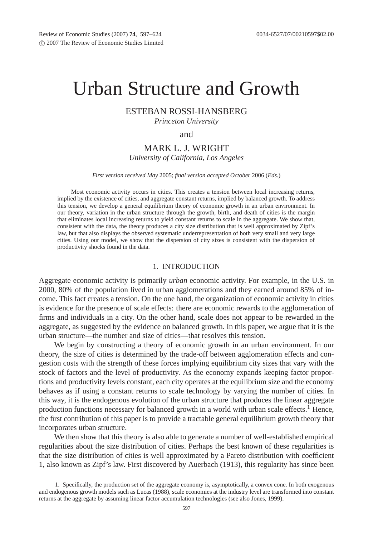# Urban Structure and Growth

# ESTEBAN ROSSI-HANSBERG

*Princeton University*

## and

# MARK L. J. WRIGHT *University of California, Los Angeles*

*First version received May* 2005; *final version accepted October* 2006 (*Eds.*)

Most economic activity occurs in cities. This creates a tension between local increasing returns, implied by the existence of cities, and aggregate constant returns, implied by balanced growth. To address this tension, we develop a general equilibrium theory of economic growth in an urban environment. In our theory, variation in the urban structure through the growth, birth, and death of cities is the margin that eliminates local increasing returns to yield constant returns to scale in the aggregate. We show that, consistent with the data, the theory produces a city size distribution that is well approximated by Zipf's law, but that also displays the observed systematic underrepresentation of both very small and very large cities. Using our model, we show that the dispersion of city sizes is consistent with the dispersion of productivity shocks found in the data.

## 1. INTRODUCTION

Aggregate economic activity is primarily *urban* economic activity. For example, in the U.S. in 2000, 80% of the population lived in urban agglomerations and they earned around 85% of income. This fact creates a tension. On the one hand, the organization of economic activity in cities is evidence for the presence of scale effects: there are economic rewards to the agglomeration of firms and individuals in a city. On the other hand, scale does not appear to be rewarded in the aggregate, as suggested by the evidence on balanced growth. In this paper, we argue that it is the urban structure—the number and size of cities—that resolves this tension.

We begin by constructing a theory of economic growth in an urban environment. In our theory, the size of cities is determined by the trade-off between agglomeration effects and congestion costs with the strength of these forces implying equilibrium city sizes that vary with the stock of factors and the level of productivity. As the economy expands keeping factor proportions and productivity levels constant, each city operates at the equilibrium size and the economy behaves as if using a constant returns to scale technology by varying the number of cities. In this way, it is the endogenous evolution of the urban structure that produces the linear aggregate production functions necessary for balanced growth in a world with urban scale effects.<sup>1</sup> Hence, the first contribution of this paper is to provide a tractable general equilibrium growth theory that incorporates urban structure.

We then show that this theory is also able to generate a number of well-established empirical regularities about the size distribution of cities. Perhaps the best known of these regularities is that the size distribution of cities is well approximated by a Pareto distribution with coefficient 1, also known as Zipf's law. First discovered by Auerbach (1913), this regularity has since been

<sup>1.</sup> Specifically, the production set of the aggregate economy is, asymptotically, a convex cone. In both exogenous and endogenous growth models such as Lucas (1988), scale economies at the industry level are transformed into constant returns at the aggregate by assuming linear factor accumulation technologies (see also Jones, 1999).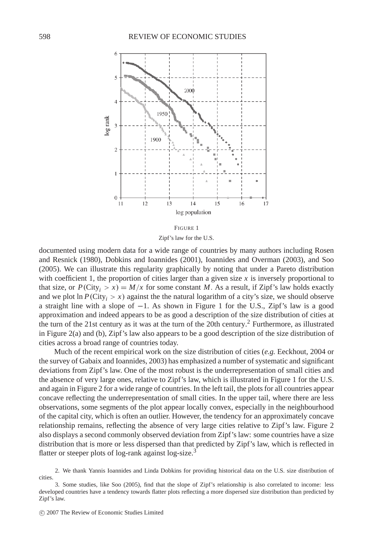



documented using modern data for a wide range of countries by many authors including Rosen and Resnick (1980), Dobkins and Ioannides (2001), Ioannides and Overman (2003), and Soo (2005). We can illustrate this regularity graphically by noting that under a Pareto distribution with coefficient 1, the proportion of cities larger than a given size *x* is inversely proportional to that size, or  $P(\text{City}_i > x) = M/x$  for some constant *M*. As a result, if Zipf's law holds exactly and we plot  $\ln P(\text{City}_i > x)$  against the the natural logarithm of a city's size, we should observe a straight line with a slope of −1. As shown in Figure 1 for the U.S., Zipf's law is a good approximation and indeed appears to be as good a description of the size distribution of cities at the turn of the 21st century as it was at the turn of the 20th century.<sup>2</sup> Furthermore, as illustrated in Figure 2(a) and (b), Zipf's law also appears to be a good description of the size distribution of cities across a broad range of countries today.

Much of the recent empirical work on the size distribution of cities (*e.g.* Eeckhout, 2004 or the survey of Gabaix and Ioannides, 2003) has emphasized a number of systematic and significant deviations from Zipf's law. One of the most robust is the underrepresentation of small cities and the absence of very large ones, relative to Zipf's law, which is illustrated in Figure 1 for the U.S. and again in Figure 2 for a wide range of countries. In the left tail, the plots for all countries appear concave reflecting the underrepresentation of small cities. In the upper tail, where there are less observations, some segments of the plot appear locally convex, especially in the neighbourhood of the capital city, which is often an outlier. However, the tendency for an approximately concave relationship remains, reflecting the absence of very large cities relative to Zipf's law. Figure 2 also displays a second commonly observed deviation from Zipf's law: some countries have a size distribution that is more or less dispersed than that predicted by Zipf's law, which is reflected in flatter or steeper plots of log-rank against log-size.<sup>3</sup>

<sup>2.</sup> We thank Yannis Ioannides and Linda Dobkins for providing historical data on the U.S. size distribution of cities.

<sup>3.</sup> Some studies, like Soo (2005), find that the slope of Zipf's relationship is also correlated to income: less developed countries have a tendency towards flatter plots reflecting a more dispersed size distribution than predicted by Zipf's law.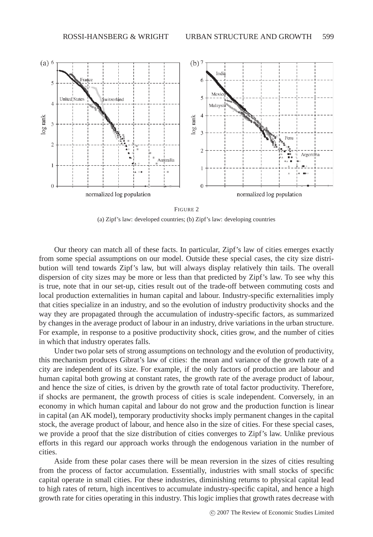

FIGURE 2 (a) Zipf's law: developed countries; (b) Zipf's law: developing countries

Our theory can match all of these facts. In particular, Zipf's law of cities emerges exactly from some special assumptions on our model. Outside these special cases, the city size distribution will tend towards Zipf's law, but will always display relatively thin tails. The overall dispersion of city sizes may be more or less than that predicted by Zipf's law. To see why this is true, note that in our set-up, cities result out of the trade-off between commuting costs and local production externalities in human capital and labour. Industry-specific externalities imply that cities specialize in an industry, and so the evolution of industry productivity shocks and the way they are propagated through the accumulation of industry-specific factors, as summarized by changes in the average product of labour in an industry, drive variations in the urban structure. For example, in response to a positive productivity shock, cities grow, and the number of cities in which that industry operates falls.

Under two polar sets of strong assumptions on technology and the evolution of productivity, this mechanism produces Gibrat's law of cities: the mean and variance of the growth rate of a city are independent of its size. For example, if the only factors of production are labour and human capital both growing at constant rates, the growth rate of the average product of labour, and hence the size of cities, is driven by the growth rate of total factor productivity. Therefore, if shocks are permanent, the growth process of cities is scale independent. Conversely, in an economy in which human capital and labour do not grow and the production function is linear in capital (an AK model), temporary productivity shocks imply permanent changes in the capital stock, the average product of labour, and hence also in the size of cities. For these special cases, we provide a proof that the size distribution of cities converges to Zipf's law. Unlike previous efforts in this regard our approach works through the endogenous variation in the number of cities.

Aside from these polar cases there will be mean reversion in the sizes of cities resulting from the process of factor accumulation. Essentially, industries with small stocks of specific capital operate in small cities. For these industries, diminishing returns to physical capital lead to high rates of return, high incentives to accumulate industry-specific capital, and hence a high growth rate for cities operating in this industry. This logic implies that growth rates decrease with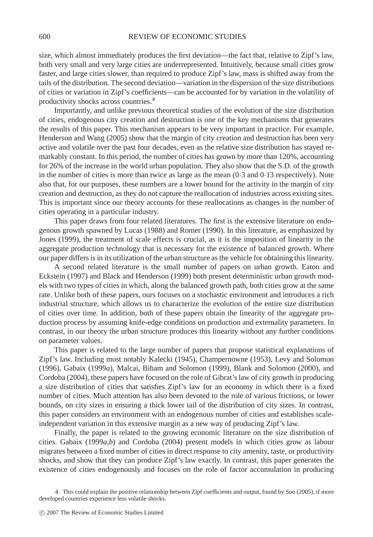size, which almost immediately produces the first deviation—the fact that, relative to Zipf's law, both very small and very large cities are underrepresented. Intuitively, because small cities grow faster, and large cities slower, than required to produce Zipf's law, mass is shifted away from the tails of the distribution. The second deviation—variation in the dispersion of the size distributions of cities or variation in Zipf's coefficients—can be accounted for by variation in the volatility of productivity shocks across countries.<sup>4</sup>

Importantly, and unlike previous theoretical studies of the evolution of the size distribution of cities, endogenous city creation and destruction is one of the key mechanisms that generates the results of this paper. This mechanism appears to be very important in practice. For example, Henderson and Wang (2005) show that the margin of city creation and destruction has been very active and volatile over the past four decades, even as the relative size distribution has stayed remarkably constant. In this period, the number of cities has grown by more than 120%, accounting for 26% of the increase in the world urban population. They also show that the S.D. of the growth in the number of cities is more than twice as large as the mean (0·3 and 0·13 respectively). Note also that, for our purposes, these numbers are a lower bound for the activity in the margin of city creation and destruction, as they do not capture the reallocation of industries across existing sites. This is important since our theory accounts for these reallocations as changes in the number of cities operating in a particular industry.

This paper draws from four related literatures. The first is the extensive literature on endogenous growth spawned by Lucas (1988) and Romer (1990). In this literature, as emphasized by Jones (1999), the treatment of scale effects is crucial, as it is the imposition of linearity in the aggregate production technology that is necessary for the existence of balanced growth. Where our paper differs is in its utilization of the urban structure as the vehicle for obtaining this linearity.

A second related literature is the small number of papers on urban growth. Eaton and Eckstein (1997) and Black and Henderson (1999) both present deterministic urban growth models with two types of cities in which, along the balanced growth path, both cities grow at the same rate. Unlike both of these papers, ours focuses on a stochastic environment and introduces a rich industrial structure, which allows us to characterize the evolution of the entire size distribution of cities over time. In addition, both of these papers obtain the linearity of the aggregate production process by assuming knife-edge conditions on production and externality parameters. In contrast, in our theory the urban structure produces this linearity without any further conditions on parameter values.

This paper is related to the large number of papers that propose statistical explanations of Zipf's law. Including most notably Kalecki (1945), Champernowne (1953), Levy and Solomon (1996), Gabaix (1999*a*), Malcai, Biham and Solomon (1999), Blank and Solomon (2000), and Cordoba (2004), these papers have focused on the role of Gibrat's law of city growth in producing a size distribution of cities that satisfies Zipf's law for an economy in which there is a fixed number of cities. Much attention has also been devoted to the role of various frictions, or lower bounds, on city sizes in ensuring a thick lower tail of the distribution of city sizes. In contrast, this paper considers an environment with an endogenous number of cities and establishes scaleindependent variation in this extensive margin as a new way of producing Zipf's law.

Finally, the paper is related to the growing economic literature on the size distribution of cities. Gabaix (1999*a*,*b*) and Cordoba (2004) present models in which cities grow as labour migrates between a fixed number of cities in direct response to city amenity, taste, or productivity shocks, and show that they can produce Zipf's law exactly. In contrast, this paper generates the existence of cities endogenously and focuses on the role of factor accumulation in producing

<sup>4.</sup> This could explain the positive relationship between Zipf coefficients and output, found by Soo (2005), if more developed countries experience less volatile shocks.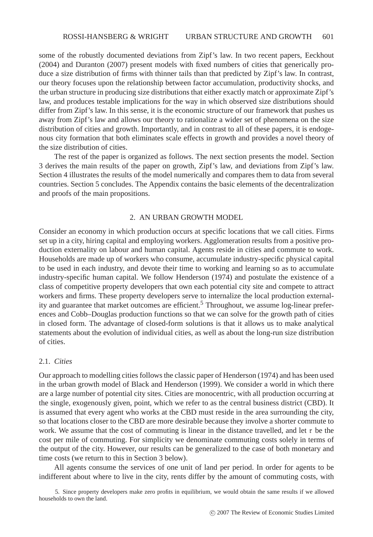some of the robustly documented deviations from Zipf's law. In two recent papers, Eeckhout (2004) and Duranton (2007) present models with fixed numbers of cities that generically produce a size distribution of firms with thinner tails than that predicted by Zipf's law. In contrast, our theory focuses upon the relationship between factor accumulation, productivity shocks, and the urban structure in producing size distributions that either exactly match or approximate Zipf's law, and produces testable implications for the way in which observed size distributions should differ from Zipf's law. In this sense, it is the economic structure of our framework that pushes us away from Zipf's law and allows our theory to rationalize a wider set of phenomena on the size distribution of cities and growth. Importantly, and in contrast to all of these papers, it is endogenous city formation that both eliminates scale effects in growth and provides a novel theory of the size distribution of cities.

The rest of the paper is organized as follows. The next section presents the model. Section 3 derives the main results of the paper on growth, Zipf's law, and deviations from Zipf's law. Section 4 illustrates the results of the model numerically and compares them to data from several countries. Section 5 concludes. The Appendix contains the basic elements of the decentralization and proofs of the main propositions.

## 2. AN URBAN GROWTH MODEL

Consider an economy in which production occurs at specific locations that we call cities. Firms set up in a city, hiring capital and employing workers. Agglomeration results from a positive production externality on labour and human capital. Agents reside in cities and commute to work. Households are made up of workers who consume, accumulate industry-specific physical capital to be used in each industry, and devote their time to working and learning so as to accumulate industry-specific human capital. We follow Henderson (1974) and postulate the existence of a class of competitive property developers that own each potential city site and compete to attract workers and firms. These property developers serve to internalize the local production externality and guarantee that market outcomes are efficient.<sup>5</sup> Throughout, we assume log-linear preferences and Cobb–Douglas production functions so that we can solve for the growth path of cities in closed form. The advantage of closed-form solutions is that it allows us to make analytical statements about the evolution of individual cities, as well as about the long-run size distribution of cities.

## 2.1. *Cities*

Our approach to modelling cities follows the classic paper of Henderson (1974) and has been used in the urban growth model of Black and Henderson (1999). We consider a world in which there are a large number of potential city sites. Cities are monocentric, with all production occurring at the single, exogenously given, point, which we refer to as the central business district (CBD). It is assumed that every agent who works at the CBD must reside in the area surrounding the city, so that locations closer to the CBD are more desirable because they involve a shorter commute to work. We assume that the cost of commuting is linear in the distance travelled, and let  $\tau$  be the cost per mile of commuting. For simplicity we denominate commuting costs solely in terms of the output of the city. However, our results can be generalized to the case of both monetary and time costs (we return to this in Section 3 below).

All agents consume the services of one unit of land per period. In order for agents to be indifferent about where to live in the city, rents differ by the amount of commuting costs, with

5. Since property developers make zero profits in equilibrium, we would obtain the same results if we allowed households to own the land.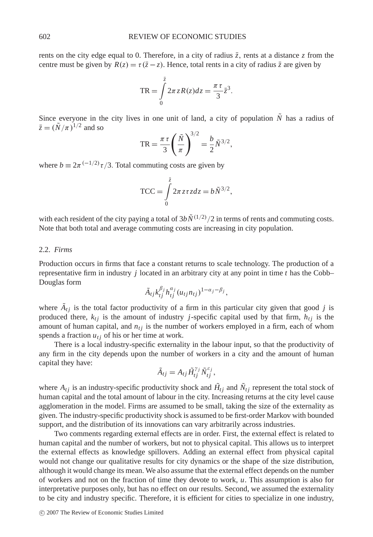rents on the city edge equal to 0. Therefore, in a city of radius  $\bar{z}$ , rents at a distance  $z$  from the centre must be given by  $R(z) = \tau(\bar{z} - z)$ . Hence, total rents in a city of radius  $\bar{z}$  are given by

$$
TR = \int_{0}^{\overline{z}} 2\pi z R(z) dz = \frac{\pi \tau}{3} \overline{z}^{3}.
$$

Since everyone in the city lives in one unit of land, a city of population  $\tilde{N}$  has a radius of  $\bar{z} = (\tilde{N}/\pi)^{1/2}$  and so

$$
TR = \frac{\pi \tau}{3} \left( \frac{\tilde{N}}{\pi} \right)^{3/2} = \frac{b}{2} \tilde{N}^{3/2},
$$

where  $b = 2\pi \frac{(-1/2)}{\tau/3}$ . Total commuting costs are given by

$$
\text{TCC} = \int\limits_{0}^{\bar{z}} 2\pi z \tau z dz = b \tilde{N}^{3/2},
$$

with each resident of the city paying a total of  $3b\tilde{N}^{(1/2)}/2$  in terms of rents and commuting costs. Note that both total and average commuting costs are increasing in city population.

## 2.2. *Firms*

Production occurs in firms that face a constant returns to scale technology. The production of a representative firm in industry  $j$  located in an arbitrary city at any point in time  $t$  has the Cobb– Douglas form

$$
\tilde{A}_{tj}k_{tj}^{\beta_j}h_{tj}^{\alpha_j}(u_{tj}n_{tj})^{1-\alpha_j-\beta_j},
$$

where  $A_{t}$ <sup>*i*</sup> is the total factor productivity of a firm in this particular city given that good *j* is produced there,  $k_{tj}$  is the amount of industry *j*-specific capital used by that firm,  $h_{tj}$  is the amount of human capital, and  $n_{ti}$  is the number of workers employed in a firm, each of whom spends a fraction  $u_{ti}$  of his or her time at work.

There is a local industry-specific externality in the labour input, so that the productivity of any firm in the city depends upon the number of workers in a city and the amount of human capital they have:

$$
\tilde{A}_{tj} = A_{tj} \tilde{H}_{tj}^{\gamma_j} \tilde{N}_{tj}^{\varepsilon_j},
$$

where  $A_{tj}$  is an industry-specific productivity shock and  $\tilde{H}_{tj}$  and  $\tilde{N}_{tj}$  represent the total stock of human capital and the total amount of labour in the city. Increasing returns at the city level cause agglomeration in the model. Firms are assumed to be small, taking the size of the externality as given. The industry-specific productivity shock is assumed to be first-order Markov with bounded support, and the distribution of its innovations can vary arbitrarily across industries.

Two comments regarding external effects are in order. First, the external effect is related to human capital and the number of workers, but not to physical capital. This allows us to interpret the external effects as knowledge spillovers. Adding an external effect from physical capital would not change our qualitative results for city dynamics or the shape of the size distribution, although it would change its mean. We also assume that the external effect depends on the number of workers and not on the fraction of time they devote to work, *u*. This assumption is also for interpretative purposes only, but has no effect on our results. Second, we assumed the externality to be city and industry specific. Therefore, it is efficient for cities to specialize in one industry,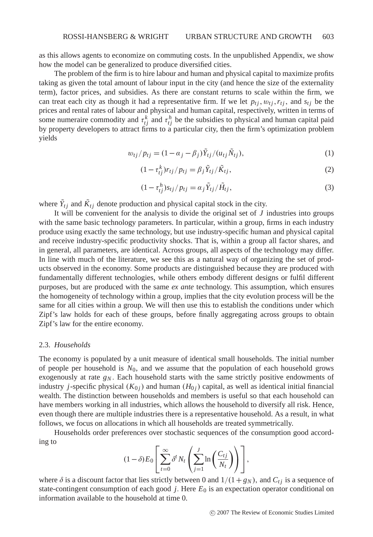as this allows agents to economize on commuting costs. In the unpublished Appendix, we show how the model can be generalized to produce diversified cities.

The problem of the firm is to hire labour and human and physical capital to maximize profits taking as given the total amount of labour input in the city (and hence the size of the externality term), factor prices, and subsidies. As there are constant returns to scale within the firm, we can treat each city as though it had a representative firm. If we let  $p_{t i}$ ,  $w_{t i}$ ,  $r_{t i}$ , and  $s_{t i}$  be the prices and rental rates of labour and physical and human capital, respectively, written in terms of some numeraire commodity and  $\tau_{tj}^k$  and  $\tau_{tj}^h$  be the subsidies to physical and human capital paid by property developers to attract firms to a particular city, then the firm's optimization problem yields

$$
w_{tj}/p_{tj} = (1 - \alpha_j - \beta_j) \tilde{Y}_{tj}/(u_{tj} \tilde{N}_{tj}),
$$
\n(1)

$$
(1 - \tau_{ij}^k) r_{ij} / p_{ij} = \beta_j \tilde{Y}_{ij} / \tilde{K}_{ij}, \qquad (2)
$$

$$
(1 - \tau_{ij}^h) s_{tj} / p_{tj} = \alpha_j \tilde{Y}_{tj} / \tilde{H}_{tj},
$$
\n(3)

where  $Y_{tj}$  and  $K_{tj}$  denote production and physical capital stock in the city.

It will be convenient for the analysis to divide the original set of *J* industries into groups with the same basic technology parameters. In particular, within a group, firms in each industry produce using exactly the same technology, but use industry-specific human and physical capital and receive industry-specific productivity shocks. That is, within a group all factor shares, and in general, all parameters, are identical. Across groups, all aspects of the technology may differ. In line with much of the literature, we see this as a natural way of organizing the set of products observed in the economy. Some products are distinguished because they are produced with fundamentally different technologies, while others embody different designs or fulfil different purposes, but are produced with the same *ex ante* technology. This assumption, which ensures the homogeneity of technology within a group, implies that the city evolution process will be the same for all cities within a group. We will then use this to establish the conditions under which Zipf's law holds for each of these groups, before finally aggregating across groups to obtain Zipf's law for the entire economy.

#### 2.3. *Households*

The economy is populated by a unit measure of identical small households. The initial number of people per household is *N*0, and we assume that the population of each household grows exogenously at rate  $g_N$ . Each household starts with the same strictly positive endowments of industry *j*-specific physical  $(K_{0i})$  and human  $(H_{0i})$  capital, as well as identical initial financial wealth. The distinction between households and members is useful so that each household can have members working in all industries, which allows the household to diversify all risk. Hence, even though there are multiple industries there is a representative household. As a result, in what follows, we focus on allocations in which all households are treated symmetrically.

Households order preferences over stochastic sequences of the consumption good according to

$$
(1-\delta)E_0\left[\sum_{t=0}^{\infty}\delta^t N_t\left(\sum_{j=1}^J\ln\left(\frac{C_{tj}}{N_t}\right)\right)\right],
$$

where  $\delta$  is a discount factor that lies strictly between 0 and  $1/(1+g_N)$ , and  $C_{tj}$  is a sequence of state-contingent consumption of each good *j*. Here *E*<sup>0</sup> is an expectation operator conditional on information available to the household at time 0.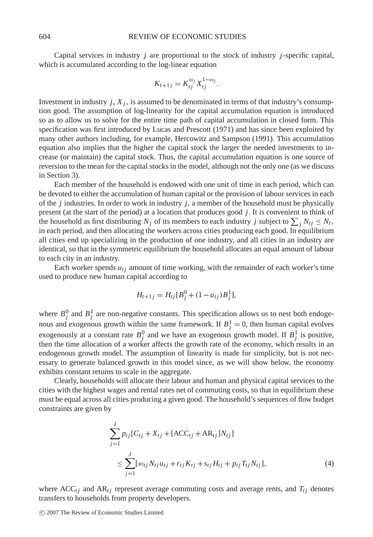Capital services in industry *j* are proportional to the stock of industry *j*-specific capital, which is accumulated according to the log-linear equation

$$
K_{t+1,j} = K_{tj}^{\omega_j} X_{tj}^{1-\omega_j}.
$$

Investment in industry  $j$ ,  $X_j$ , is assumed to be denominated in terms of that industry's consumption good. The assumption of log-linearity for the capital accumulation equation is introduced so as to allow us to solve for the entire time path of capital accumulation in closed form. This specification was first introduced by Lucas and Prescott (1971) and has since been exploited by many other authors including, for example, Hercowitz and Sampson (1991). This accumulation equation also implies that the higher the capital stock the larger the needed investments to increase (or maintain) the capital stock. Thus, the capital accumulation equation is one source of reversion to the mean for the capital stocks in the model, although not the only one (as we discuss in Section 3).

Each member of the household is endowed with one unit of time in each period, which can be devoted to either the accumulation of human capital or the provision of labour services in each of the *j* industries. In order to work in industry *j*, a member of the household must be physically present (at the start of the period) at a location that produces good *j*. It is convenient to think of the household as first distributing  $N_j$  of its members to each industry *j* subject to  $\sum_j N_{tj} \le N_t$ , in each period, and then allocating the workers across cities producing each good. In equilibrium all cities end up specializing in the production of one industry, and all cities in an industry are identical, so that in the symmetric equilibrium the household allocates an equal amount of labour to each city in an industry.

Each worker spends  $u_{tj}$  amount of time working, with the remainder of each worker's time used to produce new human capital according to

$$
H_{t+1j} = H_{tj}[B_j^0 + (1 - u_{tj})B_j^1],
$$

where  $B_j^0$  and  $B_j^1$  are non-negative constants. This specification allows us to nest both endogenous and exogenous growth within the same framework. If  $B_j^1 = 0$ , then human capital evolves exogenously at a constant rate  $B_j^0$  and we have an exogenous growth model. If  $B_j^1$  is positive, then the time allocation of a worker affects the growth rate of the economy, which results in an endogenous growth model. The assumption of linearity is made for simplicity, but is not necessary to generate balanced growth in this model since, as we will show below, the economy exhibits constant returns to scale in the aggregate.

Clearly, households will allocate their labour and human and physical capital services to the cities with the highest wages and rental rates net of commuting costs, so that in equilibrium these must be equal across all cities producing a given good. The household's sequences of flow budget constraints are given by

$$
\sum_{j=1}^{J} p_{ij} [C_{tj} + X_{tj} + [ACC_{tj} + AR_{tj}]N_{tj}]
$$
\n
$$
\leq \sum_{j=1}^{J} [w_{tj} N_{tj} u_{tj} + r_{tj} K_{tj} + s_{tj} H_{tj} + p_{tj} T_{tj} N_{tj}], \tag{4}
$$

where  $ACC_{t}$  and  $AR_{t}$  represent average commuting costs and average rents, and  $T_{t}$  denotes transfers to households from property developers.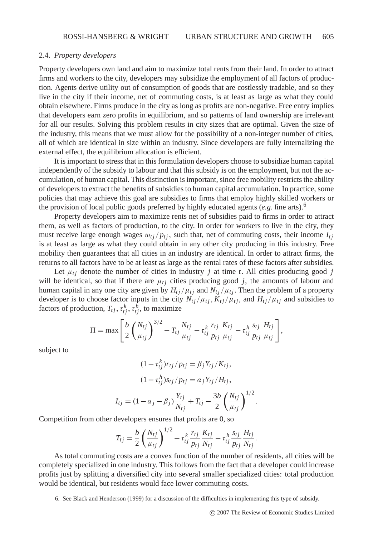#### 2.4. *Property developers*

Property developers own land and aim to maximize total rents from their land. In order to attract firms and workers to the city, developers may subsidize the employment of all factors of production. Agents derive utility out of consumption of goods that are costlessly tradable, and so they live in the city if their income, net of commuting costs, is at least as large as what they could obtain elsewhere. Firms produce in the city as long as profits are non-negative. Free entry implies that developers earn zero profits in equilibrium, and so patterns of land ownership are irrelevant for all our results. Solving this problem results in city sizes that are optimal. Given the size of the industry, this means that we must allow for the possibility of a non-integer number of cities, all of which are identical in size within an industry. Since developers are fully internalizing the external effect, the equilibrium allocation is efficient.

It is important to stress that in this formulation developers choose to subsidize human capital independently of the subsidy to labour and that this subsidy is on the employment, but not the accumulation, of human capital. This distinction is important, since free mobility restricts the ability of developers to extract the benefits of subsidies to human capital accumulation. In practice, some policies that may achieve this goal are subsidies to firms that employ highly skilled workers or the provision of local public goods preferred by highly educated agents (*e.g.* fine arts).6

Property developers aim to maximize rents net of subsidies paid to firms in order to attract them, as well as factors of production, to the city. In order for workers to live in the city, they must receive large enough wages  $w_{ti}/p_{ti}$ , such that, net of commuting costs, their income  $I_{ti}$ is at least as large as what they could obtain in any other city producing in this industry. Free mobility then guarantees that all cities in an industry are identical. In order to attract firms, the returns to all factors have to be at least as large as the rental rates of these factors after subsidies.

Let  $\mu_{t}$  denote the number of cities in industry *j* at time *t*. All cities producing good *j* will be identical, so that if there are  $\mu_{tj}$  cities producing good *j*, the amounts of labour and human capital in any one city are given by  $H_{t} / \mu_{t}$  and  $N_{t} / \mu_{t}$ . Then the problem of a property developer is to choose factor inputs in the city  $N_{tj}/\mu_{tj}$ ,  $K_{tj}/\mu_{tj}$ , and  $H_{tj}/\mu_{tj}$  and subsidies to factors of production,  $T_{tj}$ ,  $\tau_{tj}^k$ ,  $\tau_{tj}^h$ , to maximize

$$
\Pi = \max \left[ \frac{b}{2} \left( \frac{N_{tj}}{\mu_{tj}} \right)^{3/2} - T_{tj} \frac{N_{tj}}{\mu_{tj}} - \tau_{tj}^k \frac{r_{tj}}{p_{tj}} \frac{K_{tj}}{\mu_{tj}} - \tau_{tj}^h \frac{s_{tj}}{p_{tj}} \frac{H_{tj}}{\mu_{tj}} \right],
$$

subject to

$$
(1 - \tau_{ij}^k) r_{ij} / p_{ij} = \beta_j Y_{ij} / K_{ij},
$$

$$
(1 - \tau_{ij}^h) s_{ij} / p_{ij} = \alpha_j Y_{ij} / H_{ij},
$$

$$
I_{tj} = (1 - \alpha_j - \beta_j) \frac{Y_{tj}}{N_{tj}} + T_{tj} - \frac{3b}{2} \left(\frac{N_{tj}}{\mu_{tj}}\right)^{1/2}.
$$

Competition from other developers ensures that profits are 0, so

$$
T_{ij} = \frac{b}{2} \left( \frac{N_{tj}}{\mu_{tj}} \right)^{1/2} - \tau_{tj}^k \frac{r_{tj}}{p_{tj}} \frac{K_{tj}}{N_{tj}} - \tau_{tj}^h \frac{s_{tj}}{p_{tj}} \frac{H_{tj}}{N_{tj}}.
$$

As total commuting costs are a convex function of the number of residents, all cities will be completely specialized in one industry. This follows from the fact that a developer could increase profits just by splitting a diversified city into several smaller specialized cities: total production would be identical, but residents would face lower commuting costs.

<sup>6.</sup> See Black and Henderson (1999) for a discussion of the difficulties in implementing this type of subsidy.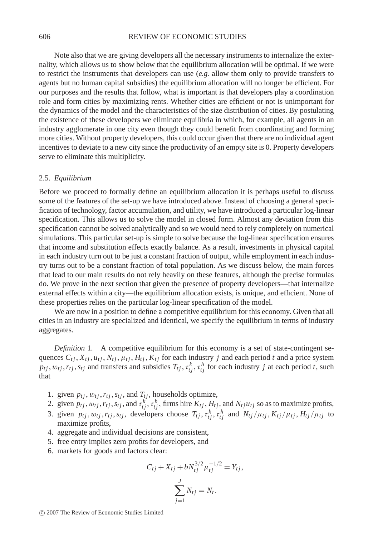## 606 REVIEW OF ECONOMIC STUDIES

Note also that we are giving developers all the necessary instruments to internalize the externality, which allows us to show below that the equilibrium allocation will be optimal. If we were to restrict the instruments that developers can use (*e.g.* allow them only to provide transfers to agents but no human capital subsidies) the equilibrium allocation will no longer be efficient. For our purposes and the results that follow, what is important is that developers play a coordination role and form cities by maximizing rents. Whether cities are efficient or not is unimportant for the dynamics of the model and the characteristics of the size distribution of cities. By postulating the existence of these developers we eliminate equilibria in which, for example, all agents in an industry agglomerate in one city even though they could benefit from coordinating and forming more cities. Without property developers, this could occur given that there are no individual agent incentives to deviate to a new city since the productivity of an empty site is 0. Property developers serve to eliminate this multiplicity.

#### 2.5. *Equilibrium*

Before we proceed to formally define an equilibrium allocation it is perhaps useful to discuss some of the features of the set-up we have introduced above. Instead of choosing a general specification of technology, factor accumulation, and utility, we have introduced a particular log-linear specification. This allows us to solve the model in closed form. Almost any deviation from this specification cannot be solved analytically and so we would need to rely completely on numerical simulations. This particular set-up is simple to solve because the log-linear specification ensures that income and substitution effects exactly balance. As a result, investments in physical capital in each industry turn out to be just a constant fraction of output, while employment in each industry turns out to be a constant fraction of total population. As we discuss below, the main forces that lead to our main results do not rely heavily on these features, although the precise formulas do. We prove in the next section that given the presence of property developers—that internalize external effects within a city—the equilibrium allocation exists, is unique, and efficient. None of these properties relies on the particular log-linear specification of the model.

We are now in a position to define a competitive equilibrium for this economy. Given that all cities in an industry are specialized and identical, we specify the equilibrium in terms of industry aggregates.

*Definition* 1. A competitive equilibrium for this economy is a set of state-contingent sequences  $C_{tj}$ ,  $X_{tj}$ ,  $u_{tj}$ ,  $N_{tj}$ ,  $\mu_{tj}$ ,  $H_{tj}$ ,  $K_{tj}$  for each industry *j* and each period *t* and a price system  $p_{tj}, w_{tj}, r_{tj}, s_{tj}$  and transfers and subsidies  $T_{tj}, \tau_{tj}^k, \tau_{tj}^h$  for each industry *j* at each period *t*, such that

- 1. given  $p_{tj}$ ,  $w_{tj}$ ,  $r_{tj}$ ,  $s_{tj}$ , and  $T_{tj}$ , households optimize,
- 2. given  $p_{tj}$ ,  $w_{tj}$ ,  $r_{tj}$ ,  $s_{tj}$ , and  $\tau_{tj}^k$ ,  $\tau_{tj}^h$ , firms hire  $K_{tj}$ ,  $H_{tj}$ , and  $N_{tj}u_{tj}$  so as to maximize profits,
- 3. given  $p_{tj}$ ,  $w_{tj}$ ,  $r_{tj}$ ,  $s_{tj}$ , developers choose  $T_{tj}$ ,  $\tau_{tj}^k$ ,  $\tau_{tj}^h$  and  $N_{tj}/\mu_{tj}$ ,  $K_{tj}/\mu_{tj}$ ,  $H_{tj}/\mu_{tj}$  to maximize profits,
- 4. aggregate and individual decisions are consistent,
- 5. free entry implies zero profits for developers, and
- 6. markets for goods and factors clear:

$$
C_{tj} + X_{tj} + bN_{tj}^{3/2} \mu_{tj}^{-1/2} = Y_{tj},
$$

$$
\sum_{j=1}^{J} N_{tj} = N_{t}.
$$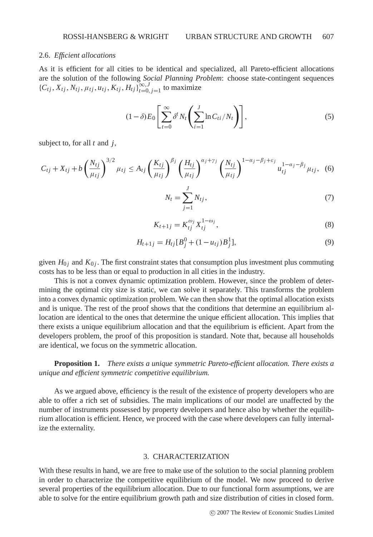#### 2.6. *Efficient allocations*

As it is efficient for all cities to be identical and specialized, all Pareto-efficient allocations are the solution of the following *Social Planning Problem*: choose state-contingent sequences  ${C_{tj}, X_{tj}, N_{tj}, \mu_{tj}, u_{tj}, K_{tj}, H_{tj}}_{t=0, j=1}^{\infty, J}$  to maximize

$$
(1 - \delta)E_0 \left[ \sum_{t=0}^{\infty} \delta^t N_t \left( \sum_{i=1}^J \ln C_{ti} / N_t \right) \right],
$$
 (5)

subject to, for all *t* and *j*,

$$
C_{tj} + X_{tj} + b \left(\frac{N_{tj}}{\mu_{tj}}\right)^{3/2} \mu_{tj} \le A_{tj} \left(\frac{K_{tj}}{\mu_{tj}}\right)^{\beta_j} \left(\frac{H_{tj}}{\mu_{tj}}\right)^{\alpha_j + \gamma_j} \left(\frac{N_{tj}}{\mu_{tj}}\right)^{1 - \alpha_j - \beta_j + \varepsilon_j} u_{tj}^{1 - \alpha_j - \beta_j} \mu_{tj}, \tag{6}
$$

$$
N_t = \sum_{j=1}^{J} N_{tj},\tag{7}
$$

$$
K_{t+1j} = K_{tj}^{\omega_j} X_{tj}^{1-\omega_j},
$$
\n(8)

$$
H_{t+1j} = H_{tj}[B_j^0 + (1 - u_{tj})B_j^1],
$$
\n(9)

given  $H_{0i}$  and  $K_{0i}$ . The first constraint states that consumption plus investment plus commuting costs has to be less than or equal to production in all cities in the industry.

This is not a convex dynamic optimization problem. However, since the problem of determining the optimal city size is static, we can solve it separately. This transforms the problem into a convex dynamic optimization problem. We can then show that the optimal allocation exists and is unique. The rest of the proof shows that the conditions that determine an equilibrium allocation are identical to the ones that determine the unique efficient allocation. This implies that there exists a unique equilibrium allocation and that the equilibrium is efficient. Apart from the developers problem, the proof of this proposition is standard. Note that, because all households are identical, we focus on the symmetric allocation.

**Proposition 1.** *There exists a unique symmetric Pareto-efficient allocation. There exists a unique and efficient symmetric competitive equilibrium.*

As we argued above, efficiency is the result of the existence of property developers who are able to offer a rich set of subsidies. The main implications of our model are unaffected by the number of instruments possessed by property developers and hence also by whether the equilibrium allocation is efficient. Hence, we proceed with the case where developers can fully internalize the externality.

## 3. CHARACTERIZATION

With these results in hand, we are free to make use of the solution to the social planning problem in order to characterize the competitive equilibrium of the model. We now proceed to derive several properties of the equilibrium allocation. Due to our functional form assumptions, we are able to solve for the entire equilibrium growth path and size distribution of cities in closed form.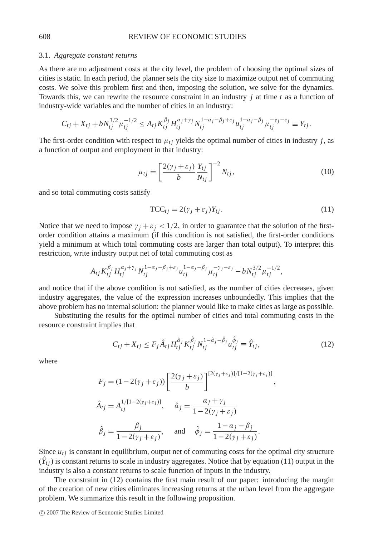#### 3.1. *Aggregate constant returns*

As there are no adjustment costs at the city level, the problem of choosing the optimal sizes of cities is static. In each period, the planner sets the city size to maximize output net of commuting costs. We solve this problem first and then, imposing the solution, we solve for the dynamics. Towards this, we can rewrite the resource constraint in an industry *j* at time *t* as a function of industry-wide variables and the number of cities in an industry:

$$
C_{tj} + X_{tj} + bN_{tj}^{3/2} \mu_{tj}^{-1/2} \leq A_{tj} K_{tj}^{\beta_j} H_{tj}^{\alpha_j + \gamma_j} N_{tj}^{1 - \alpha_j - \beta_j + \varepsilon_j} u_{tj}^{1 - \alpha_j - \beta_j} \mu_{tj}^{-\gamma_j - \varepsilon_j} \equiv Y_{tj}.
$$

The first-order condition with respect to  $\mu_{ij}$  yields the optimal number of cities in industry *j*, as a function of output and employment in that industry:

$$
\mu_{tj} = \left[\frac{2(\gamma_j + \varepsilon_j)}{b} \frac{Y_{tj}}{N_{tj}}\right]^{-2} N_{tj},\tag{10}
$$

and so total commuting costs satisfy

$$
TCC_{tj} = 2(\gamma_j + \varepsilon_j)Y_{tj}.
$$
\n(11)

Notice that we need to impose  $\gamma_i + \varepsilon_j < 1/2$ , in order to guarantee that the solution of the firstorder condition attains a maximum (if this condition is not satisfied, the first-order conditions yield a minimum at which total commuting costs are larger than total output). To interpret this restriction, write industry output net of total commuting cost as

$$
A_{tj} K_{tj}^{\beta_j} H_{tj}^{\alpha_j + \gamma_j} N_{tj}^{1-\alpha_j-\beta_j + \varepsilon_j} u_{tj}^{1-\alpha_j-\beta_j} \mu_{tj}^{-\gamma_j - \varepsilon_j} - b N_{tj}^{3/2} \mu_{tj}^{-1/2},
$$

and notice that if the above condition is not satisfied, as the number of cities decreases, given industry aggregates, the value of the expression increases unboundedly. This implies that the above problem has no internal solution: the planner would like to make cities as large as possible.

Substituting the results for the optimal number of cities and total commuting costs in the resource constraint implies that

$$
C_{tj} + X_{tj} \le F_j \hat{A}_{tj} H_{tj}^{\hat{a}_j} K_{tj}^{\hat{\beta}_j} N_{tj}^{1-\hat{a}_j-\hat{\beta}_j} u_{tj}^{\hat{\phi}_j} \equiv \hat{Y}_{tj}, \qquad (12)
$$

,

where

$$
F_j = (1 - 2(\gamma_j + \varepsilon_j)) \left[ \frac{2(\gamma_j + \varepsilon_j)}{b} \right]^{[2(\gamma_j + \varepsilon_j)]/[1 - 2(\gamma_j + \varepsilon_j)]}
$$
  

$$
\hat{A}_{tj} = A_{tj}^{1/[1 - 2(\gamma_j + \varepsilon_j)]}, \quad \hat{\alpha}_j = \frac{\alpha_j + \gamma_j}{1 - 2(\gamma_j + \varepsilon_j)}
$$
  

$$
\hat{\beta}_j = \frac{\beta_j}{1 - 2(\gamma_j + \varepsilon_j)}, \quad \text{and} \quad \hat{\phi}_j = \frac{1 - \alpha_j - \beta_j}{1 - 2(\gamma_j + \varepsilon_j)}.
$$

Since  $u_{tj}$  is constant in equilibrium, output net of commuting costs for the optimal city structure  $(Y_{tj})$  is constant returns to scale in industry aggregates. Notice that by equation (11) output in the industry is also a constant returns to scale function of inputs in the industry.

The constraint in (12) contains the first main result of our paper: introducing the margin of the creation of new cities eliminates increasing returns at the urban level from the aggregate problem. We summarize this result in the following proposition.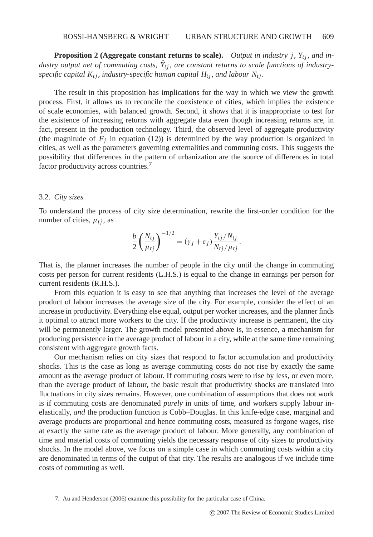**Proposition 2 (Aggregate constant returns to scale).** Output in industry j, Y<sub>ti</sub>, and industry output net of commuting costs,  $Y_{tj}$ , are constant returns to scale functions of industry*specific capital*  $K_{ti}$ *, industry-specific human capital*  $H_{ti}$ *, and labour*  $N_{ti}$ .

The result in this proposition has implications for the way in which we view the growth process. First, it allows us to reconcile the coexistence of cities, which implies the existence of scale economies, with balanced growth. Second, it shows that it is inappropriate to test for the existence of increasing returns with aggregate data even though increasing returns are, in fact, present in the production technology. Third, the observed level of aggregate productivity (the magnitude of  $F_j$  in equation (12)) is determined by the way production is organized in cities, as well as the parameters governing externalities and commuting costs. This suggests the possibility that differences in the pattern of urbanization are the source of differences in total factor productivity across countries.7

## 3.2. *City sizes*

To understand the process of city size determination, rewrite the first-order condition for the number of cities,  $\mu_{ti}$ , as

$$
\frac{b}{2} \left( \frac{N_{tj}}{\mu_{tj}} \right)^{-1/2} = (\gamma_j + \varepsilon_j) \frac{Y_{tj}/N_{tj}}{N_{tj}/\mu_{tj}}.
$$

That is, the planner increases the number of people in the city until the change in commuting costs per person for current residents (L.H.S.) is equal to the change in earnings per person for current residents (R.H.S.).

From this equation it is easy to see that anything that increases the level of the average product of labour increases the average size of the city. For example, consider the effect of an increase in productivity. Everything else equal, output per worker increases, and the planner finds it optimal to attract more workers to the city. If the productivity increase is permanent, the city will be permanently larger. The growth model presented above is, in essence, a mechanism for producing persistence in the average product of labour in a city, while at the same time remaining consistent with aggregate growth facts.

Our mechanism relies on city sizes that respond to factor accumulation and productivity shocks. This is the case as long as average commuting costs do not rise by exactly the same amount as the average product of labour. If commuting costs were to rise by less, or even more, than the average product of labour, the basic result that productivity shocks are translated into fluctuations in city sizes remains. However, one combination of assumptions that does not work is if commuting costs are denominated *purely* in units of time, *and* workers supply labour inelastically, *and* the production function is Cobb–Douglas. In this knife-edge case, marginal and average products are proportional and hence commuting costs, measured as forgone wages, rise at exactly the same rate as the average product of labour. More generally, any combination of time and material costs of commuting yields the necessary response of city sizes to productivity shocks. In the model above, we focus on a simple case in which commuting costs within a city are denominated in terms of the output of that city. The results are analogous if we include time costs of commuting as well.

<sup>7.</sup> Au and Henderson (2006) examine this possibility for the particular case of China.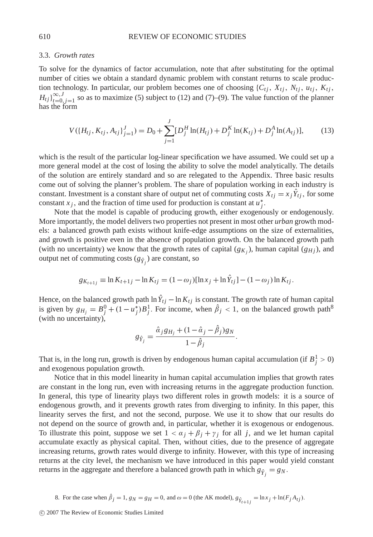## 3.3. *Growth rates*

To solve for the dynamics of factor accumulation, note that after substituting for the optimal number of cities we obtain a standard dynamic problem with constant returns to scale production technology. In particular, our problem becomes one of choosing  $\{C_{tj}, X_{tj}, N_{tj}, u_{tj}, K_{tj}, U_{tj}\}$  $H_{ij}$   $_{i=0,j=1}^{\infty, J}$  so as to maximize (5) subject to (12) and (7)–(9). The value function of the planner has the form

$$
V(\lbrace H_{tj}, K_{tj}, A_{tj} \rbrace_{j=1}^{J}) = D_0 + \sum_{j=1}^{J} [D_j^H \ln(H_{tj}) + D_j^K \ln(K_{tj}) + D_j^A \ln(A_{tj})], \qquad (13)
$$

which is the result of the particular log-linear specification we have assumed. We could set up a more general model at the cost of losing the ability to solve the model analytically. The details of the solution are entirely standard and so are relegated to the Appendix. Three basic results come out of solving the planner's problem. The share of population working in each industry is constant. Investment is a constant share of output net of commuting costs  $X_{tj} = x_j Y_{tj}$ , for some constant  $x_j$ , and the fraction of time used for production is constant at  $u_j^*$ .

Note that the model is capable of producing growth, either exogenously or endogenously. More importantly, the model delivers two properties not present in most other *urban* growth models: a balanced growth path exists without knife-edge assumptions on the size of externalities, and growth is positive even in the absence of population growth. On the balanced growth path (with no uncertainty) we know that the growth rates of capital  $(g_K)$ , human capital  $(g_H)$ , and output net of commuting costs ( $g_{\hat{Y}_j}$ ) are constant, so

$$
g_{K_{t+1j}} \equiv \ln K_{t+1j} - \ln K_{tj} = (1 - \omega_j)[\ln x_j + \ln \hat{Y}_{tj}] - (1 - \omega_j)\ln K_{tj}.
$$

Hence, on the balanced growth path  $\ln Y_{tj} - \ln K_{tj}$  is constant. The growth rate of human capital is given by  $g_{H_j} = B_j^0 + (1 - u_j^*)B_j^1$ . For income, when  $\hat{\beta}_j < 1$ , on the balanced growth path<sup>8</sup> (with no uncertainty),

$$
g_{\hat{Y}_j} = \frac{\hat{\alpha}_j g_{H_j} + (1 - \hat{\alpha}_j - \hat{\beta}_j) g_N}{1 - \hat{\beta}_j}.
$$

That is, in the long run, growth is driven by endogenous human capital accumulation (if  $B_j^1 > 0$ ) and exogenous population growth.

Notice that in this model linearity in human capital accumulation implies that growth rates are constant in the long run, even with increasing returns in the aggregate production function. In general, this type of linearity plays two different roles in growth models: it is a source of endogenous growth, and it prevents growth rates from diverging to infinity. In this paper, this linearity serves the first, and not the second, purpose. We use it to show that our results do not depend on the source of growth and, in particular, whether it is exogenous or endogenous. To illustrate this point, suppose we set  $1 < \alpha_j + \beta_j + \gamma_j$  for all *j*, and we let human capital accumulate exactly as physical capital. Then, without cities, due to the presence of aggregate increasing returns, growth rates would diverge to infinity. However, with this type of increasing returns at the city level, the mechanism we have introduced in this paper would yield constant returns in the aggregate and therefore a balanced growth path in which  $g_{\hat{Y}_i} = g_N$ .

8. For the case when 
$$
\beta_j = 1
$$
,  $g_N = g_H = 0$ , and  $\omega = 0$  (the AK model),  $g_{\hat{Y}_{t+1j}} = \ln x_j + \ln(F_j A_{tj})$ .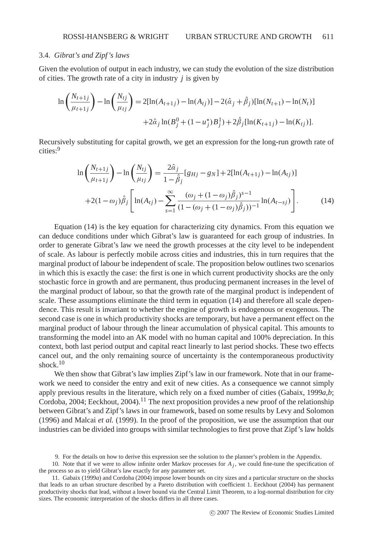#### 3.4. *Gibrat's and Zipf 's laws*

Given the evolution of output in each industry, we can study the evolution of the size distribution of cities. The growth rate of a city in industry *j* is given by

$$
\ln\left(\frac{N_{t+1j}}{\mu_{t+1j}}\right) - \ln\left(\frac{N_{tj}}{\mu_{tj}}\right) = 2[\ln(A_{t+1j}) - \ln(A_{tj})] - 2(\hat{\alpha}_j + \hat{\beta}_j)[\ln(N_{t+1}) - \ln(N_t)]
$$

$$
+ 2\hat{\alpha}_j \ln(B_j^0 + (1 - u_j^*)B_j^1) + 2\hat{\beta}_j[\ln(K_{t+1j}) - \ln(K_{tj})].
$$

Recursively substituting for capital growth, we get an expression for the long-run growth rate of cities:9

$$
\ln\left(\frac{N_{t+1j}}{\mu_{t+1j}}\right) - \ln\left(\frac{N_{tj}}{\mu_{tj}}\right) = \frac{2\hat{a}_j}{1-\hat{\beta}_j}[g_{Hj} - g_N] + 2[\ln(A_{t+1j}) - \ln(A_{tj})]
$$
  
+2(1 - \omega\_j)\hat{\beta}\_j\left[\ln(A\_{tj}) - \sum\_{s=1}^{\infty} \frac{(\omega\_j + (1 - \omega\_j)\hat{\beta}\_j)^{s-1}}{(1 - (\omega\_j + (1 - \omega\_j)\hat{\beta}\_j))^{-1}}\ln(A\_{t-sj})\right]. (14)

Equation (14) is the key equation for characterizing city dynamics. From this equation we can deduce conditions under which Gibrat's law is guaranteed for each group of industries. In order to generate Gibrat's law we need the growth processes at the city level to be independent of scale. As labour is perfectly mobile across cities and industries, this in turn requires that the marginal product of labour be independent of scale. The proposition below outlines two scenarios in which this is exactly the case: the first is one in which current productivity shocks are the only stochastic force in growth and are permanent, thus producing permanent increases in the level of the marginal product of labour, so that the growth rate of the marginal product is independent of scale. These assumptions eliminate the third term in equation (14) and therefore all scale dependence. This result is invariant to whether the engine of growth is endogenous or exogenous. The second case is one in which productivity shocks are temporary, but have a permanent effect on the marginal product of labour through the linear accumulation of physical capital. This amounts to transforming the model into an AK model with no human capital and 100% depreciation. In this context, both last period output and capital react linearly to last period shocks. These two effects cancel out, and the only remaining source of uncertainty is the contemporaneous productivity shock. $10$ 

We then show that Gibrat's law implies Zipf's law in our framework. Note that in our framework we need to consider the entry and exit of new cities. As a consequence we cannot simply apply previous results in the literature, which rely on a fixed number of cities (Gabaix, 1999*a*,*b*; Cordoba, 2004; Eeckhout, 2004).<sup>11</sup> The next proposition provides a new proof of the relationship between Gibrat's and Zipf's laws in our framework, based on some results by Levy and Solomon (1996) and Malcai *et al.* (1999). In the proof of the proposition, we use the assumption that our industries can be divided into groups with similar technologies to first prove that Zipf's law holds

<sup>9.</sup> For the details on how to derive this expression see the solution to the planner's problem in the Appendix.

<sup>10.</sup> Note that if we were to allow infinite order Markov processes for  $A_i$ , we could fine-tune the specification of the process so as to yield Gibrat's law exactly for any parameter set.

<sup>11.</sup> Gabaix (1999*a*) and Cordoba (2004) impose lower bounds on city sizes and a particular structure on the shocks that leads to an urban structure described by a Pareto distribution with coefficient 1. Eeckhout (2004) has permanent productivity shocks that lead, without a lower bound via the Central Limit Theorem, to a log-normal distribution for city sizes. The economic interpretation of the shocks differs in all three cases.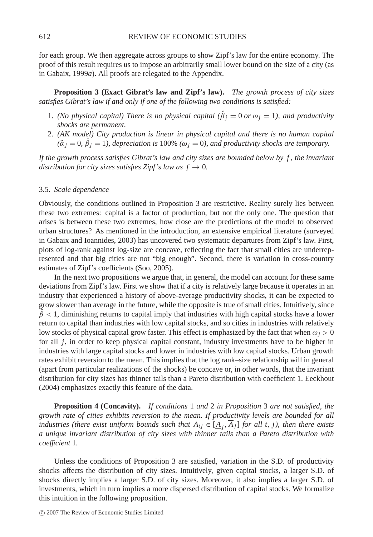for each group. We then aggregate across groups to show Zipf's law for the entire economy. The proof of this result requires us to impose an arbitrarily small lower bound on the size of a city (as in Gabaix, 1999*a*). All proofs are relegated to the Appendix.

**Proposition 3 (Exact Gibrat's law and Zipf's law).** ( *The growth process of city sizes satisfies Gibrat's law if and only if one of the following two conditions is satisfied:*

- 1. *(No physical capital) There is no physical capital*  $(\hat{\beta}_i = 0 \text{ or } \omega_i = 1)$ *, and productivity shocks are permanent.*
- 2. *(AK model) City production is linear in physical capital and there is no human capital*  $(\hat{\alpha}_j = 0, \hat{\beta}_j = 1)$ , depreciation is 100%  $(\omega_j = 0)$ , and productivity shocks are temporary.

*If the growth process satisfies Gibrat's law and city sizes are bounded below by f , the invariant distribution for city sizes satisfies Zipf's law as*  $f \rightarrow 0$ *.* 

## 3.5. *Scale dependence*

Obviously, the conditions outlined in Proposition 3 are restrictive. Reality surely lies between these two extremes: capital is a factor of production, but not the only one. The question that arises is between these two extremes, how close are the predictions of the model to observed urban structures? As mentioned in the introduction, an extensive empirical literature (surveyed in Gabaix and Ioannides, 2003) has uncovered two systematic departures from Zipf's law. First, plots of log-rank against log-size are concave, reflecting the fact that small cities are underrepresented and that big cities are not "big enough". Second, there is variation in cross-country estimates of Zipf's coefficients (Soo, 2005).

In the next two propositions we argue that, in general, the model can account for these same deviations from Zipf's law. First we show that if a city is relatively large because it operates in an industry that experienced a history of above-average productivity shocks, it can be expected to grow slower than average in the future, while the opposite is true of small cities. Intuitively, since  $\hat{\beta}$  < 1, diminishing returns to capital imply that industries with high capital stocks have a lower return to capital than industries with low capital stocks, and so cities in industries with relatively low stocks of physical capital grow faster. This effect is emphasized by the fact that when  $\omega_j > 0$ for all *j*, in order to keep physical capital constant, industry investments have to be higher in industries with large capital stocks and lower in industries with low capital stocks. Urban growth rates exhibit reversion to the mean. This implies that the log rank–size relationship will in general (apart from particular realizations of the shocks) be concave or, in other words, that the invariant distribution for city sizes has thinner tails than a Pareto distribution with coefficient 1. Eeckhout (2004) emphasizes exactly this feature of the data.

**Proposition 4 (Concavity).** ( *If conditions* 1 *and* 2 *in Proposition* 3 *are not satisfied, the growth rate of cities exhibits reversion to the mean. If productivity levels are bounded for all industries (there exist uniform bounds such that*  $A_{ij} \in [\underline{A}_j, A_j]$  *for all t*, *j*), *then there exists a unique invariant distribution of city sizes with thinner tails than a Pareto distribution with coefficient* 1*.*

Unless the conditions of Proposition 3 are satisfied, variation in the S.D. of productivity shocks affects the distribution of city sizes. Intuitively, given capital stocks, a larger S.D. of shocks directly implies a larger S.D. of city sizes. Moreover, it also implies a larger S.D. of investments, which in turn implies a more dispersed distribution of capital stocks. We formalize this intuition in the following proposition.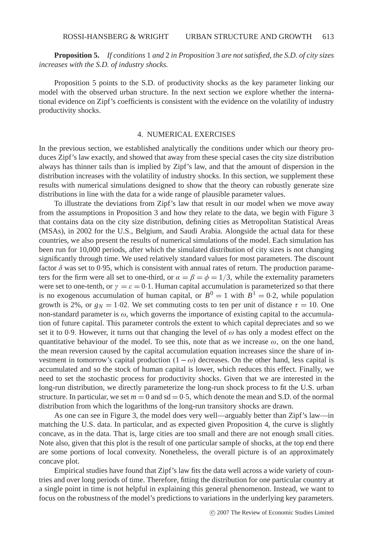**Proposition 5.** *If conditions* 1 *and* 2 *in Proposition* 3 *are not satisfied, the S.D. of city sizes increases with the S.D. of industry shocks.*

Proposition 5 points to the S.D. of productivity shocks as the key parameter linking our model with the observed urban structure. In the next section we explore whether the international evidence on Zipf's coefficients is consistent with the evidence on the volatility of industry productivity shocks.

## 4. NUMERICAL EXERCISES

In the previous section, we established analytically the conditions under which our theory produces Zipf's law exactly, and showed that away from these special cases the city size distribution always has thinner tails than is implied by Zipf's law, and that the amount of dispersion in the distribution increases with the volatility of industry shocks. In this section, we supplement these results with numerical simulations designed to show that the theory can robustly generate size distributions in line with the data for a wide range of plausible parameter values.

To illustrate the deviations from Zipf's law that result in our model when we move away from the assumptions in Proposition 3 and how they relate to the data, we begin with Figure 3 that contains data on the city size distribution, defining cities as Metropolitan Statistical Areas (MSAs), in 2002 for the U.S., Belgium, and Saudi Arabia. Alongside the actual data for these countries, we also present the results of numerical simulations of the model. Each simulation has been run for 10,000 periods, after which the simulated distribution of city sizes is not changing significantly through time. We used relatively standard values for most parameters. The discount factor  $\delta$  was set to 0.95, which is consistent with annual rates of return. The production parameters for the firm were all set to one-third, or  $\alpha = \beta = \phi = 1/3$ , while the externality parameters were set to one-tenth, or  $\gamma = \varepsilon = 0.1$ . Human capital accumulation is parameterized so that there is no exogenous accumulation of human capital, or  $B^0 = 1$  with  $B^1 = 0.2$ , while population growth is 2%, or  $g_N = 1.02$ . We set commuting costs to ten per unit of distance  $\tau = 10$ . One non-standard parameter is  $\omega$ , which governs the importance of existing capital to the accumulation of future capital. This parameter controls the extent to which capital depreciates and so we set it to 0.9. However, it turns out that changing the level of  $\omega$  has only a modest effect on the quantitative behaviour of the model. To see this, note that as we increase  $\omega$ , on the one hand, the mean reversion caused by the capital accumulation equation increases since the share of investment in tomorrow's capital production  $(1 - \omega)$  decreases. On the other hand, less capital is accumulated and so the stock of human capital is lower, which reduces this effect. Finally, we need to set the stochastic process for productivity shocks. Given that we are interested in the long-run distribution, we directly parameterize the long-run shock process to fit the U.S. urban structure. In particular, we set  $m = 0$  and sd = 0.5, which denote the mean and S.D. of the normal distribution from which the logarithms of the long-run transitory shocks are drawn.

As one can see in Figure 3, the model does very well—arguably better than Zipf's law—in matching the U.S. data. In particular, and as expected given Proposition 4, the curve is slightly concave, as in the data. That is, large cities are too small and there are not enough small cities. Note also, given that this plot is the result of one particular sample of shocks, at the top end there are some portions of local convexity. Nonetheless, the overall picture is of an approximately concave plot.

Empirical studies have found that Zipf's law fits the data well across a wide variety of countries and over long periods of time. Therefore, fitting the distribution for one particular country at a single point in time is not helpful in explaining this general phenomenon. Instead, we want to focus on the robustness of the model's predictions to variations in the underlying key parameters.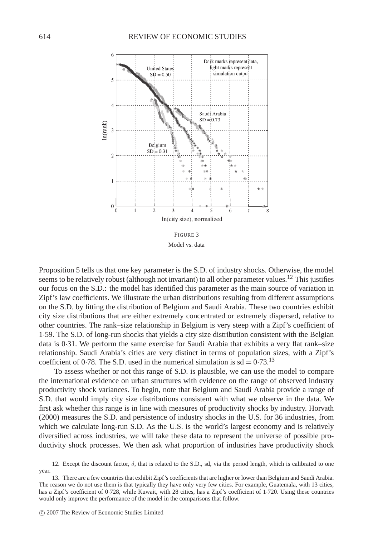

Proposition 5 tells us that one key parameter is the S.D. of industry shocks. Otherwise, the model seems to be relatively robust (although not invariant) to all other parameter values.<sup>12</sup> This justifies our focus on the S.D.: the model has identified this parameter as the main source of variation in Zipf's law coefficients. We illustrate the urban distributions resulting from different assumptions on the S.D. by fitting the distribution of Belgium and Saudi Arabia. These two countries exhibit city size distributions that are either extremely concentrated or extremely dispersed, relative to other countries. The rank–size relationship in Belgium is very steep with a Zipf's coefficient of 1·59. The S.D. of long-run shocks that yields a city size distribution consistent with the Belgian data is 0·31. We perform the same exercise for Saudi Arabia that exhibits a very flat rank–size relationship. Saudi Arabia's cities are very distinct in terms of population sizes, with a Zipf's coefficient of 0.78. The S.D. used in the numerical simulation is  $sd = 0.73$ .<sup>13</sup>

To assess whether or not this range of S.D. is plausible, we can use the model to compare the international evidence on urban structures with evidence on the range of observed industry productivity shock variances. To begin, note that Belgium and Saudi Arabia provide a range of S.D. that would imply city size distributions consistent with what we observe in the data. We first ask whether this range is in line with measures of productivity shocks by industry. Horvath (2000) measures the S.D. and persistence of industry shocks in the U.S. for 36 industries, from which we calculate long-run S.D. As the U.S. is the world's largest economy and is relatively diversified across industries, we will take these data to represent the universe of possible productivity shock processes. We then ask what proportion of industries have productivity shock

<sup>12.</sup> Except the discount factor,  $\delta$ , that is related to the S.D., sd, via the period length, which is calibrated to one year.

<sup>13.</sup> There are a few countries that exhibit Zipf's coefficients that are higher or lower than Belgium and Saudi Arabia. The reason we do not use them is that typically they have only very few cities. For example, Guatemala, with 13 cities, has a Zipf's coefficient of 0.728, while Kuwait, with 28 cities, has a Zipf's coefficient of 1.720. Using these countries would only improve the performance of the model in the comparisons that follow.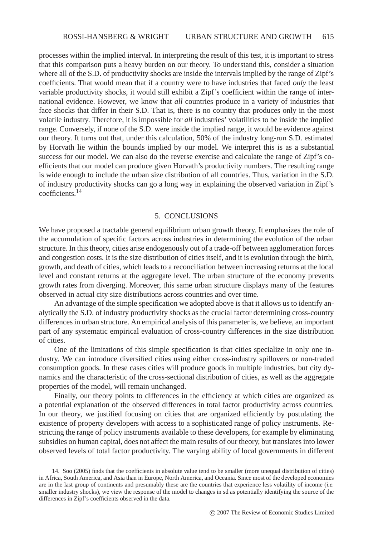processes within the implied interval. In interpreting the result of this test, it is important to stress that this comparison puts a heavy burden on our theory. To understand this, consider a situation where all of the S.D. of productivity shocks are inside the intervals implied by the range of Zipf's coefficients. That would mean that if a country were to have industries that faced *only* the least variable productivity shocks, it would still exhibit a Zipf's coefficient within the range of international evidence. However, we know that *all* countries produce in a variety of industries that face shocks that differ in their S.D. That is, there is no country that produces only in the most volatile industry. Therefore, it is impossible for *all* industries' volatilities to be inside the implied range. Conversely, if none of the S.D. were inside the implied range, it would be evidence against our theory. It turns out that, under this calculation, 50% of the industry long-run S.D. estimated by Horvath lie within the bounds implied by our model. We interpret this is as a substantial success for our model. We can also do the reverse exercise and calculate the range of Zipf's coefficients that our model can produce given Horvath's productivity numbers. The resulting range is wide enough to include the urban size distribution of all countries. Thus, variation in the S.D. of industry productivity shocks can go a long way in explaining the observed variation in Zipf's coefficients.14

## 5. CONCLUSIONS

We have proposed a tractable general equilibrium urban growth theory. It emphasizes the role of the accumulation of specific factors across industries in determining the evolution of the urban structure. In this theory, cities arise endogenously out of a trade-off between agglomeration forces and congestion costs. It is the size distribution of cities itself, and it is evolution through the birth, growth, and death of cities, which leads to a reconciliation between increasing returns at the local level and constant returns at the aggregate level. The urban structure of the economy prevents growth rates from diverging. Moreover, this same urban structure displays many of the features observed in actual city size distributions across countries and over time.

An advantage of the simple specification we adopted above is that it allows us to identify analytically the S.D. of industry productivity shocks as the crucial factor determining cross-country differences in urban structure. An empirical analysis of this parameter is, we believe, an important part of any systematic empirical evaluation of cross-country differences in the size distribution of cities.

One of the limitations of this simple specification is that cities specialize in only one industry. We can introduce diversified cities using either cross-industry spillovers or non-traded consumption goods. In these cases cities will produce goods in multiple industries, but city dynamics and the characteristic of the cross-sectional distribution of cities, as well as the aggregate properties of the model, will remain unchanged.

Finally, our theory points to differences in the efficiency at which cities are organized as a potential explanation of the observed differences in total factor productivity across countries. In our theory, we justified focusing on cities that are organized efficiently by postulating the existence of property developers with access to a sophisticated range of policy instruments. Restricting the range of policy instruments available to these developers, for example by eliminating subsidies on human capital, does not affect the main results of our theory, but translates into lower observed levels of total factor productivity. The varying ability of local governments in different

14. Soo (2005) finds that the coefficients in absolute value tend to be smaller (more unequal distribution of cities) in Africa, South America, and Asia than in Europe, North America, and Oceania. Since most of the developed economies are in the last group of continents and presumably these are the countries that experience less volatility of income (*i.e.* smaller industry shocks), we view the response of the model to changes in sd as potentially identifying the source of the differences in Zipf's coefficients observed in the data.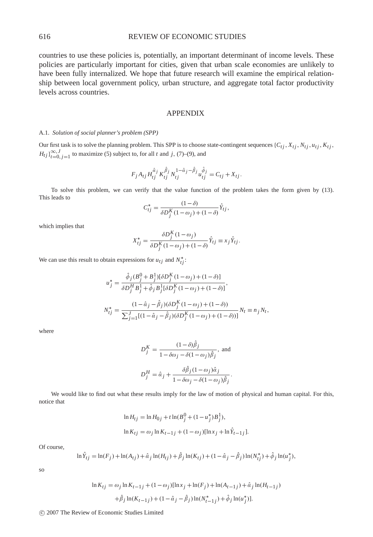countries to use these policies is, potentially, an important determinant of income levels. These policies are particularly important for cities, given that urban scale economies are unlikely to have been fully internalized. We hope that future research will examine the empirical relationship between local government policy, urban structure, and aggregate total factor productivity levels across countries.

## APPENDIX

#### A.1. *Solution of social planner's problem (SPP)*

Our first task is to solve the planning problem. This SPP is to choose state-contingent sequences  $\{C_{tj}, X_{tj}, N_{tj}, u_{tj}, K_{tj}, C_{tj}\}$  $H_{ij}$  } $_{t=0,j=1}^{\infty, J}$  to maximize (5) subject to, for all *t* and *j*, (7)–(9), and

$$
F_j A_{tj} H_{tj}^{\hat{\alpha}_j} K_{tj}^{\hat{\beta}_j} N_{tj}^{1-\hat{\alpha}_j-\hat{\beta}_j} u_{tj}^{\hat{\phi}_j} = C_{tj} + X_{tj}.
$$

To solve this problem, we can verify that the value function of the problem takes the form given by (13). This leads to

$$
C_{ij}^* = \frac{(1-\delta)}{\delta D_j^K (1-\omega_j) + (1-\delta)} \hat{Y}_{tj},
$$

which implies that

$$
X_{ij}^* = \frac{\delta D_j^K(1 - \omega_j)}{\delta D_j^K(1 - \omega_j) + (1 - \delta)} \hat{Y}_{tj} \equiv x_j \hat{Y}_{tj}.
$$

We can use this result to obtain expressions for  $u_{tj}$  and  $N_{tj}^*$ :

$$
u_j^* = \frac{\hat{\phi}_j (B_j^0 + B_j^1) [\delta D_j^K (1 - \omega_j) + (1 - \delta)]}{\delta D_j^H B_j^1 + \hat{\phi}_j B_j^1 [\delta D_j^K (1 - \omega_j) + (1 - \delta)]},
$$
  

$$
N_{ij}^* = \frac{(1 - \hat{\alpha}_j - \hat{\beta}_j) (\delta D_j^K (1 - \omega_j) + (1 - \delta))}{\sum_{j=1}^J [(1 - \hat{\alpha}_j - \hat{\beta}_j) (\delta D_j^K (1 - \omega_j) + (1 - \delta))]} N_t \equiv n_j N_t,
$$

where

$$
D_j^K = \frac{(1 - \delta)\hat{\beta}_j}{1 - \delta\omega_j - \delta(1 - \omega_j)\hat{\beta}_j}, \text{ and}
$$
  

$$
D_j^H = \hat{\alpha}_j + \frac{\delta\hat{\beta}_j(1 - \omega_j)\hat{\alpha}_j}{1 - \delta\omega_j - \delta(1 - \omega_j)\hat{\beta}_j}.
$$

We would like to find out what these results imply for the law of motion of physical and human capital. For this, notice that

$$
\ln H_{ij} = \ln H_{0j} + t \ln(B_j^0 + (1 - u_j^*) B_j^1),
$$
  

$$
\ln K_{ij} = \omega_j \ln K_{i-1j} + (1 - \omega_j) [\ln x_j + \ln \hat{Y}_{i-1j}].
$$

Of course,

$$
\ln \hat{Y}_{tj} = \ln(F_j) + \ln(A_{tj}) + \hat{\alpha}_j \ln(H_{tj}) + \hat{\beta}_j \ln(K_{tj}) + (1 - \hat{\alpha}_j - \hat{\beta}_j) \ln(N_{tj}^*) + \hat{\phi}_j \ln(u_j^*),
$$

so

$$
\ln K_{tj} = \omega_j \ln K_{t-1j} + (1 - \omega_j) [\ln x_j + \ln(F_j) + \ln(A_{t-1j}) + \hat{\alpha}_j \ln(H_{t-1j})
$$
  
+  $\hat{\beta}_j \ln(K_{t-1j}) + (1 - \hat{\alpha}_j - \hat{\beta}_j) \ln(N_{t-1j}^*) + \hat{\phi}_j \ln(u_j^*)].$ 

c 2007 The Review of Economic Studies Limited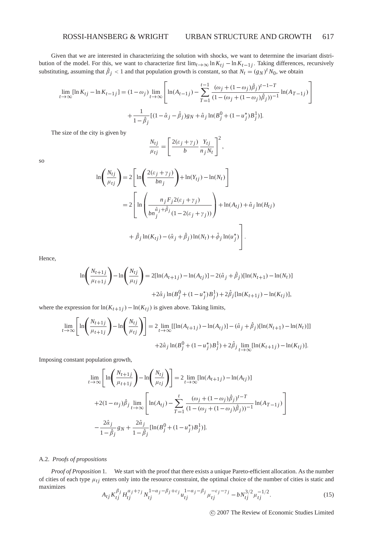Given that we are interested in characterizing the solution with shocks, we want to determine the invariant distribution of the model. For this, we want to characterize first  $\lim_{t\to\infty} \ln K_{t}$  –  $\ln K_{t-1}$ . Taking differences, recursively substituting, assuming that  $\hat{\beta}_i$  < 1 and that population growth is constant, so that  $N_t = (g_N)^t N_0$ , we obtain

$$
\lim_{t \to \infty} [\ln K_{tj} - \ln K_{t-1j}] = (1 - \omega_j) \lim_{t \to \infty} \left[ \ln(A_{t-1j}) - \sum_{T=1}^{t-1} \frac{(\omega_j + (1 - \omega_j)\hat{\beta}_j)^{t-1-T}}{(1 - (\omega_j + (1 - \omega_j)\hat{\beta}_j))^{-1}} \ln(A_{T-1j}) \right] + \frac{1}{1 - \hat{\beta}_j} [(1 - \hat{\alpha}_j - \hat{\beta}_j)g_N + \hat{\alpha}_j \ln(B_j^0 + (1 - u_j^*)B_j^1)].
$$

The size of the city is given by

$$
\frac{N_{tj}}{\mu_{tj}} = \left[\frac{2(\varepsilon_j + \gamma_j)}{b} \frac{Y_{tj}}{n_j N_t}\right]^2,
$$

so

$$
\ln\left(\frac{N_{tj}}{\mu_{tj}}\right) = 2\left[\ln\left(\frac{2(\varepsilon_j + \gamma_j)}{bn_j}\right) + \ln(Y_{tj}) - \ln(N_t)\right]
$$

$$
= 2\left[\ln\left(\frac{n_j F_j 2(\varepsilon_j + \gamma_j)}{bn_j^{\hat{\alpha}_j + \hat{\beta}_j}(1 - 2(\varepsilon_j + \gamma_j))}\right) + \ln(A_{tj}) + \hat{\alpha}_j \ln(H_{tj})
$$

$$
+ \hat{\beta}_j \ln(K_{tj}) - (\hat{\alpha}_j + \hat{\beta}_j) \ln(N_t) + \hat{\phi}_j \ln(u_j^*)\right].
$$

Hence,

$$
\ln\left(\frac{N_{t+1j}}{\mu_{t+1j}}\right) - \ln\left(\frac{N_{tj}}{\mu_{tj}}\right) = 2[\ln(A_{t+1j}) - \ln(A_{tj})] - 2(\hat{\alpha}_j + \hat{\beta}_j)[\ln(N_{t+1}) - \ln(N_t)]
$$
  
+2\hat{\alpha}\_j \ln(B\_j^0 + (1 - u\_j^\*)B\_j^1) + 2\hat{\beta}\_j[\ln(K\_{t+1j}) - \ln(K\_{tj})],

where the expression for  $ln(K_{t+1 j}) - ln(K_{t j})$  is given above. Taking limits,

$$
\lim_{t \to \infty} \left[ \ln \left( \frac{N_{t+1j}}{\mu_{t+1j}} \right) - \ln \left( \frac{N_{tj}}{\mu_{tj}} \right) \right] = 2 \lim_{t \to \infty} [[\ln(A_{t+1j}) - \ln(A_{tj})] - (\hat{\alpha}_j + \hat{\beta}_j) [\ln(N_{t+1}) - \ln(N_t)]]
$$

$$
+ 2\hat{\alpha}_j \ln(B_j^0 + (1 - u_j^*) B_j^1) + 2\hat{\beta}_j \lim_{t \to \infty} [\ln(K_{t+1j}) - \ln(K_{tj})].
$$

Imposing constant population growth,

$$
\lim_{t \to \infty} \left[ \ln \left( \frac{N_{t+1j}}{\mu_{t+1j}} \right) - \ln \left( \frac{N_{tj}}{\mu_{tj}} \right) \right] = 2 \lim_{t \to \infty} [\ln(A_{t+1j}) - \ln(A_{tj})]
$$
  
+2(1 -  $\omega_j$ ) $\hat{\beta}_j$ <sub>t</sub>  $\lim_{t \to \infty} \left[ \ln(A_{tj}) - \sum_{T=1}^t \frac{(\omega_j + (1 - \omega_j)\hat{\beta}_j)^{t-T}}{(1 - (\omega_j + (1 - \omega_j)\hat{\beta}_j))^{-1}} \ln(A_{T-1j}) \right]$   
- $\frac{2\hat{\alpha}_j}{1 - \hat{\beta}_j} g_N + \frac{2\hat{\alpha}_j}{1 - \hat{\beta}_j} [\ln(B_j^0 + (1 - u_j^*)B_j^1)].$ 

#### A.2. *Proofs of propositions*

*Proof of Proposition* 1*.* We start with the proof that there exists a unique Pareto-efficient allocation. As the number of cities of each type  $\mu_{ti}$  enters only into the resource constraint, the optimal choice of the number of cities is static and maximizes

$$
A_{tj} K_{tj}^{\beta_j} H_{tj}^{\alpha_j + \gamma_j} N_{tj}^{1 - \alpha_j - \beta_j + \varepsilon_j} u_{tj}^{1 - \alpha_j - \beta_j} \mu_{tj}^{-\varepsilon_j - \gamma_j} - b N_{tj}^{3/2} \mu_{tj}^{-1/2}.
$$
 (15)

c 2007 The Review of Economic Studies Limited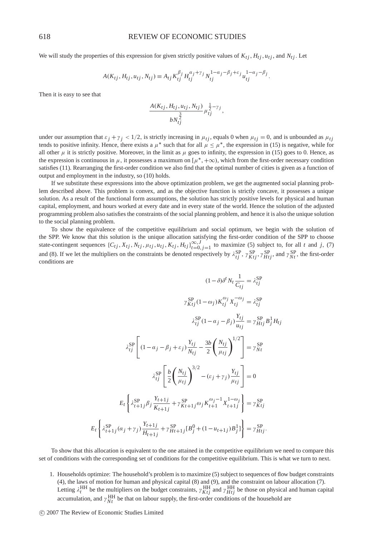We will study the properties of this expression for given strictly positive values of  $K_{t,i}$ ,  $H_{t,i}$ ,  $u_{t,i}$ , and  $N_{t,i}$ . Let

$$
A(K_{tj}, H_{tj}, u_{tj}, N_{tj}) \equiv A_{tj} K_{tj}^{\beta_j} H_{tj}^{\alpha_j + \gamma_j} N_{tj}^{1 - \alpha_j - \beta_j + \varepsilon_j} u_{tj}^{1 - \alpha_j - \beta_j}.
$$

Then it is easy to see that

$$
\frac{A(K_{tj}, H_{tj}, u_{tj}, N_{tj})}{bN_{tj}^{\frac{3}{2}}}\mu_{tj}^{\frac{1}{2}-\gamma_j},
$$

under our assumption that  $\varepsilon_j + \gamma_j < 1/2$ , is strictly increasing in  $\mu_{tj}$ , equals 0 when  $\mu_{tj} = 0$ , and is unbounded as  $\mu_{tj}$ tends to positive infinity. Hence, there exists a  $\mu^*$  such that for all  $\mu \leq \mu^*$ , the expression in (15) is negative, while for all other  $\mu$  it is strictly positive. Moreover, in the limit as  $\mu$  goes to infinity, the expression in (15) goes to 0. Hence, as the expression is continuous in  $\mu$ , it possesses a maximum on  $\mu^*, +\infty$ ), which from the first-order necessary condition satisfies (11). Rearranging the first-order condition we also find that the optimal number of cities is given as a function of output and employment in the industry, so (10) holds.

If we substitute these expressions into the above optimization problem, we get the augmented social planning problem described above. This problem is convex, and as the objective function is strictly concave, it possesses a unique solution. As a result of the functional form assumptions, the solution has strictly positive levels for physical and human capital, employment, and hours worked at every date and in every state of the world. Hence the solution of the adjusted programming problem also satisfies the constraints of the social planning problem, and hence it is also the unique solution to the social planning problem.

To show the equivalence of the competitive equilibrium and social optimum, we begin with the solution of the SPP. We know that this solution is the unique allocation satisfying the first-order condition of the SPP to choose state-contingent sequences  $\{C_{tj}, X_{tj}, N_{tj}, \mu_{tj}, \mu_{tj}, K_{tj}, H_{tj}\}_{t=0, j=1}^{\infty, J}$  to maximize (5) subject to, for all t and j, (7) and (8). If we let the multipliers on the constraints be denoted respectively by  $\lambda_{tj$ conditions are

$$
(1 - \delta)\delta^{t} N_{t} \frac{1}{C_{tj}} = \lambda_{tj}^{SP}
$$
\n
$$
\gamma_{Ktj}^{SP} (1 - \omega_{j}) K_{tj}^{\omega_{j}} X_{tj}^{-\omega_{j}} = \lambda_{tj}^{SP}
$$
\n
$$
\lambda_{tj}^{SP} (1 - \alpha_{j} - \beta_{j}) \frac{Y_{tj}}{u_{tj}} = \gamma_{Htj}^{SP} B_{j}^{1} H_{tj}
$$
\n
$$
\lambda_{tj}^{SP} \left[ (1 - \alpha_{j} - \beta_{j} + \varepsilon_{j}) \frac{Y_{tj}}{N_{tj}} - \frac{3b}{2} \left( \frac{N_{tj}}{\mu_{tj}} \right)^{1/2} \right] = \gamma_{Nt}^{SP}
$$
\n
$$
\lambda_{tj}^{SP} \left[ \frac{b}{2} \left( \frac{N_{tj}}{\mu_{tj}} \right)^{3/2} - (\varepsilon_{j} + \gamma_{j}) \frac{Y_{tj}}{\mu_{tj}} \right] = 0
$$
\n
$$
E_{t} \left\{ \lambda_{t+1j}^{SP} \beta_{j} \frac{Y_{t+1j}}{K_{t+1j}} + \gamma_{Kt+1j}^{SP} \omega_{j} K_{t+1}^{\omega_{j}-1} X_{t+1j}^{1-\omega_{j}} \right\} = \gamma_{Ktj}^{SP}
$$
\n
$$
\left\{ \lambda_{t+1j}^{SP} (\alpha_{j} + \gamma_{j}) \frac{Y_{t+1j}}{H_{t+1j}} + \gamma_{Ht+1j}^{SP} [B_{j}^{O} + (1 - u_{t+1j}) B_{j}^{1}] \right\} = \gamma_{Htj}^{SP}.
$$

To show that this allocation is equivalent to the one attained in the competitive equilibrium we need to compare this set of conditions with the corresponding set of conditions for the competitive equilibrium. This is what we turn to next.

1. Households optimize: The household's problem is to maximize (5) subject to sequences of flow budget constraints (4), the laws of motion for human and physical capital (8) and (9), and the constraint on labour allocation (7).<br>Letting  $\lambda_t^{\text{HH}}$  be the multipliers on the budget constraints,  $\gamma_{Ktj}^{\text{HH}}$  and  $\gamma_{HHj}^{\text{HH}}$  be thos accumulation, and  $\gamma_{Nt}^{\text{HH}}$  be that on labour supply, the first-order conditions of the household are

*Et*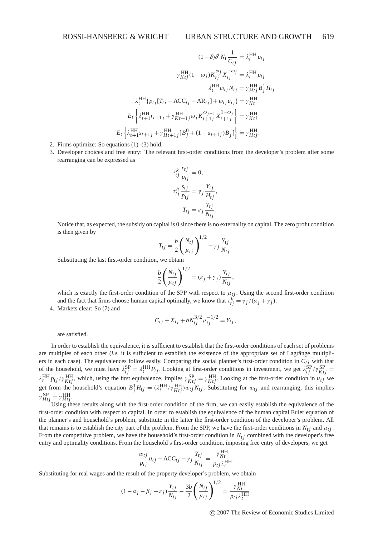$$
(1 - \delta)\delta^{t} N_{t} \frac{1}{C_{tj}} = \lambda_{t}^{\text{HH}} p_{tj}
$$

$$
\gamma_{Kij}^{\text{HH}} (1 - \omega_{j}) K_{tj}^{\omega_{j}} X_{tj}^{-\omega_{j}} = \lambda_{t}^{\text{HH}} p_{tj}
$$

$$
\lambda_{t}^{\text{HH}} w_{tj} N_{tj} = \gamma_{Hi}^{\text{HH}} B_{j}^{1} H_{tj}
$$

$$
\lambda_{t}^{\text{HH}} \{p_{tj} [T_{tj} - \text{ACC}_{tj} - \text{AR}_{tj}] + w_{tj} u_{tj} \} = \gamma_{Nt}^{\text{HH}}
$$

$$
E_{t} \left\{ \lambda_{t+1}^{\text{HH}} r_{t+1j} + \gamma_{Kt+1j}^{\text{HH}} \omega_{j} K_{t+1j}^{\omega_{j-1}} X_{t+1j}^{1-\omega_{j}} \right\} = \gamma_{Ktj}^{\text{HH}}
$$

$$
E_{t} \left\{ \lambda_{t+1}^{\text{HH}} s_{t+1j} + \gamma_{Ht+1j}^{\text{HH}} [B_{j}^{0} + (1 - u_{t+1j}) B_{j}^{1}] \right\} = \gamma_{Hij}^{\text{HH}}.
$$

- 2. Firms optimize: So equations (1)–(3) hold.
- 3. Developer choices and free entry: The relevant first-order conditions from the developer's problem after some rearranging can be expressed as

$$
\tau_{tj}^k \frac{r_{tj}}{p_{tj}} = 0,
$$
  
\n
$$
\tau_{tj}^h \frac{s_{tj}}{p_{tj}} = \gamma_j \frac{Y_{tj}}{H_{tj}}
$$
  
\n
$$
T_{tj} = \varepsilon_j \frac{Y_{tj}}{N_{tj}}
$$

,

.

Notice that, as expected, the subsidy on capital is 0 since there is no externality on capital. The zero profit condition is then given by

$$
T_{tj} = \frac{b}{2} \left( \frac{N_{tj}}{\mu_{tj}} \right)^{1/2} - \gamma_j \frac{Y_{tj}}{N_{tj}}.
$$

Substituting the last first-order condition, we obtain

$$
\frac{b}{2} \left( \frac{N_{tj}}{\mu_{tj}} \right)^{1/2} = (\varepsilon_j + \gamma_j) \frac{Y_{tj}}{N_{tj}},
$$

which is exactly the first-order condition of the SPP with respect to  $\mu_{t}$ . Using the second first-order condition and the fact that firms choose human capital optimally, we know that  $\tau_{ij}^{\hat{h}} = \gamma_j/(\alpha_j + \gamma_j)$ .

4. Markets clear: So (7) and

$$
C_{tj} + X_{tj} + bN_{tj}^{3/2} \mu_{tj}^{-1/2} = Y_{tj},
$$

are satisfied.

In order to establish the equivalence, it is sufficient to establish that the first-order conditions of each set of problems are multiples of each other (*i.e.* it is sufficient to establish the existence of the appropriate set of Lagrãnge multipliers in each case). The equivalences follow easily. Comparing the social planner's first-order condition in  $C_{tj}$  with that of the household, we must have  $\lambda_{ij}^{\text{SP}} = \lambda_i^{\text{HH}} P_{tj}$ . Looking at first-order conditions in investment, we get  $\lambda_{ij}^{\text{SP}}/\gamma_{Ktj}^{\text{SP}} = \lambda_i^{\text{HH}} P_{tj}/\gamma_{Ktj}^{\text{HH}}$ , which, using the first equivalence, implies  $\gamma_{$ get from the household's equation  $B_j^1 H_{tj} = (\lambda_t^{\text{HH}}/\gamma_{Hij}^{\text{HH}})w_{tj}N_{tj}$ . Substituting for  $w_{tj}$  and rearranging, this implies  $\gamma_{Hij}^{\text{SP}} = \gamma_{Hij}^{\text{HH}}$ .

Using these results along with the first-order condition of the firm, we can easily establish the equivalence of the first-order condition with respect to capital. In order to establish the equivalence of the human capital Euler equation of the planner's and household's problem, substitute in the latter the first-order condition of the developer's problem. All that remains is to establish the city part of the problem. From the SPP, we have the first-order conditions in  $N_{ti}$  and  $\mu_{ti}$ . From the competitive problem, we have the household's first-order condition in  $N_{t}$  combined with the developer's free entry and optimality conditions. From the household's first-order condition, imposing free entry of developers, we get

$$
\frac{w_{tj}}{p_{tj}}u_{tj} - \text{ACC}_{tj} - \gamma_j \frac{Y_{tj}}{N_{tj}} = \frac{\gamma_{Nt}^{\text{HH}}}{p_{tj} \lambda_t^{\text{HH}}}.
$$

Substituting for real wages and the result of the property developer's problem, we obtain

$$
(1 - \alpha_j - \beta_j - \varepsilon_j) \frac{Y_{tj}}{N_{tj}} - \frac{3b}{2} \left( \frac{N_{tj}}{\mu_{tj}} \right)^{1/2} = \frac{\gamma_{Nt}^{\text{HH}}}{p_{tj} \lambda_t^{\text{HH}}}.
$$

c 2007 The Review of Economic Studies Limited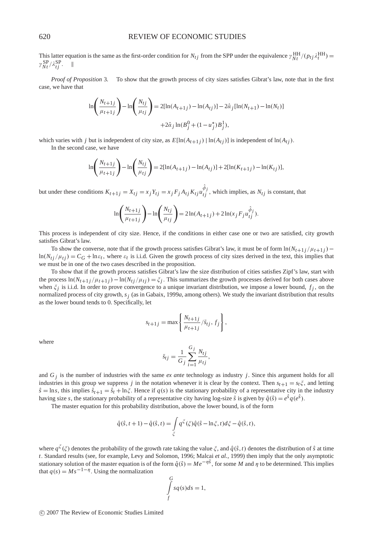This latter equation is the same as the first-order condition for  $N_{tj}$  from the SPP under the equivalence  $\gamma_{Nt}^{\text{HH}}/(p_{tj} \lambda_t^{\text{HH}})$  =  $\gamma_{Nt}^{\text{SP}}/\lambda_{tj}^{\text{SP}}$ . ||

*Proof of Proposition* 3*.* To show that the growth process of city sizes satisfies Gibrat's law, note that in the first case, we have that

$$
\ln\left(\frac{N_{t+1j}}{\mu_{t+1j}}\right) - \ln\left(\frac{N_{tj}}{\mu_{tj}}\right) = 2[\ln(A_{t+1j}) - \ln(A_{tj})] - 2\hat{\alpha}_j[\ln(N_{t+1}) - \ln(N_t)] + 2\hat{\alpha}_j\ln(B_j^0 + (1 - u_j^*)B_j^1),
$$

which varies with *j* but is independent of city size, as  $E[\ln(A_{t+1} j) | ln(A_t) ]$  is independent of  $ln(A_t j)$ .

In the second case, we have

$$
\ln\left(\frac{N_{t+1j}}{\mu_{t+1j}}\right) - \ln\left(\frac{N_{tj}}{\mu_{tj}}\right) = 2[\ln(A_{t+1j}) - \ln(A_{tj})] + 2[\ln(K_{t+1j}) - \ln(K_{tj})],
$$

but under these conditions  $K_{t+1j} = X_{tj} = x_j Y_{tj} = x_j F_j A_{tj} K_{tj} u_{tj}^{\phi_j}$ , which implies, as  $N_{tj}$  is constant, that

$$
\ln\left(\frac{N_{t+1j}}{\mu_{t+1j}}\right) - \ln\left(\frac{N_{tj}}{\mu_{tj}}\right) = 2\ln(A_{t+1j}) + 2\ln(x_j F_j u_{tj}^{\hat{\phi}_j}).
$$

This process is independent of city size. Hence, if the conditions in either case one or two are satisfied, city growth satisfies Gibrat's law.

To show the converse, note that if the growth process satisfies Gibrat's law, it must be of form  $\ln(N_{t+1} / \mu_{t+1})$  –  $\ln(N_t / \mu_t) = C_G + \ln \varepsilon_t$ , where  $\varepsilon_t$  is i.i.d. Given the growth process of city sizes derived in the text, this implies that we must be in one of the two cases described in the proposition.

To show that if the growth process satisfies Gibrat's law the size distribution of cities satisfies Zipf's law, start with the process ln( $N_{t+1}$  *j* / $\mu_{t+1}$  *j*) −ln( $N_{t}$ *j* / $\mu_{t}$ *j*) =  $\xi$ *j*. This summarizes the growth processes derived for both cases above when  $\xi_i$  is i.i.d. In order to prove convergence to a unique invariant distribution, we impose a lower bound,  $f_i$ , on the normalized process of city growth, *sj* (as in Gabaix, 1999*a*, among others). We study the invariant distribution that results as the lower bound tends to 0. Specifically, let

$$
s_{t+1,j} = \max\left\{\frac{N_{t+1,j}}{\mu_{t+1,j}}/\bar{s}_{tj}, f_j\right\},\,
$$

where

$$
\bar{s}_{tj} = \frac{1}{G_j} \sum_{i=1}^{G_j} \frac{N_{tj}}{\mu_{tj}},
$$

and *G j* is the number of industries with the same *ex ante* technology as industry *j*. Since this argument holds for all industries in this group we suppress *j* in the notation whenever it is clear by the context. Then  $s_{t+1} = s_t \xi$ , and letting  $\hat{s}$  = ln*s*, this implies  $\hat{s}_{t+1} = \hat{s}_t + \ln \xi$ . Hence if  $q(s)$  is the stationary probability of a representative city in the industry having size *s*, the stationary probability of a representative city having log-size  $\hat{s}$  is given by  $\hat{q}(\hat{s}) = e^{\hat{s}} q(e^{\hat{s}})$ .

The master equation for this probability distribution, above the lower bound, is of the form

$$
\hat{q}(\hat{s}, t+1) - \hat{q}(\hat{s}, t) = \int_{\xi} q^{\xi}(\xi) \hat{q}(\hat{s} - \ln \xi, t) d\xi - \hat{q}(\hat{s}, t),
$$

where  $q^{\xi}(\xi)$  denotes the probability of the growth rate taking the value  $\xi$ , and  $\hat{q}(\hat{s}, t)$  denotes the distribution of  $\hat{s}$  at time *t*. Standard results (see, for example, Levy and Solomon, 1996; Malcai *et al.*, 1999) then imply that the only asymptotic stationary solution of the master equation is of the form  $\hat{q}(\hat{s}) = Me^{-\eta \hat{s}}$ , for some *M* and  $\eta$  to be determined. This implies that  $q(s) = Ms^{-1-\eta}$ . Using the normalization

$$
\int\limits_f^{G} s q(s) ds = 1,
$$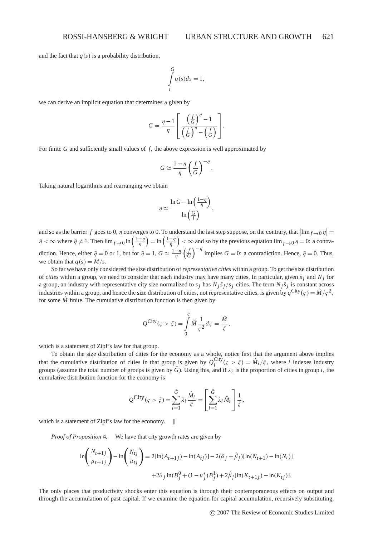and the fact that  $q(s)$  is a probability distribution,

$$
\int\limits_f^G q(s)ds = 1,
$$

we can derive an implicit equation that determines  $\eta$  given by

$$
G = \frac{\eta - 1}{\eta} \left[ \frac{\left(\frac{f}{G}\right)^{\eta} - 1}{\left(\frac{f}{G}\right)^{\eta} - \left(\frac{f}{G}\right)} \right].
$$

For finite *G* and sufficiently small values of *f*, the above expression is well approximated by

$$
G \simeq \frac{1-\eta}{\eta} \left(\frac{f}{G}\right)^{-\eta}.
$$

Taking natural logarithms and rearranging we obtain

$$
\eta \simeq \frac{\ln G - \ln\left(\frac{1-\eta}{\eta}\right)}{\ln\left(\frac{G}{f}\right)},
$$

and so as the barrier *f* goes to 0,  $\eta$  converges to 0. To understand the last step suppose, on the contrary, that  $\left| \lim_{f \to 0} \eta \right| =$  $\bar{\eta} < \infty$  where  $\bar{\eta} \neq 1$ . Then  $\lim_{f \to 0} \ln \left( \frac{1 - \eta}{\eta} \right) = \ln \left( \frac{1 - \bar{\eta}}{\bar{\eta}} \right) < \infty$  and so by the previous equation  $\lim_{f \to 0} \eta = 0$ : a contradiction. Hence, either  $\bar{\eta} = 0$  or 1, but for  $\bar{\eta} = 1$ ,  $G \simeq \frac{1-\eta}{\eta} \left(\frac{f}{G}\right)^{-\eta}$  implies  $G = 0$ : a contradiction. Hence,  $\bar{\eta} = 0$ . Thus, we obtain that  $q(s) = M/s$ .

So far we have only considered the size distribution of *representative cities* within a group. To get the size distribution of *cities* within a group, we need to consider that each industry may have many cities. In particular, given  $\bar{s}_i$  and  $N_i$  for a group, an industry with representative city size normalized to  $s_j$  has  $N_j\bar{s}_j/s_j$  cities. The term  $N_j\bar{s}_j$  is constant across industries within a group, and hence the size distribution of cities, not representative cities, is given by  $q^{City}(\varsigma) = \hat{M}/\varsigma^2$ , for some  $\tilde{M}$  finite. The cumulative distribution function is then given by

$$
Q^{\text{City}}(\varsigma > \bar{\varsigma}) = \int\limits_{0}^{\bar{\varsigma}} \hat{M} \frac{1}{\varsigma^2} d\varsigma = \frac{\hat{M}}{\bar{\varsigma}},
$$

which is a statement of Zipf's law for that group.

To obtain the size distribution of cities for the economy as a whole, notice first that the argument above implies<br>that the cumulative distribution of cities in that group is given by  $Q_i^{City}(\varsigma > \overline{\varsigma}) = \hat{M}_i/\overline{\varsigma}$ , whe groups (assume the total number of groups is given by  $\bar{G}$ ). Using this, and if  $\lambda_i$  is the proportion of cities in group *i*, the cumulative distribution function for the economy is

$$
Q^{\text{City}}(\varsigma > \bar{\varsigma}) = \sum_{i=1}^{\bar{G}} \lambda_i \frac{\hat{M}_i}{\bar{\varsigma}} = \left[ \sum_{i=1}^{\bar{G}} \lambda_i \hat{M}_i \right] \frac{1}{\bar{\varsigma}},
$$

which is a statement of Zipf's law for the economy.  $\parallel$ 

*Proof of Proposition* 4*.* We have that city growth rates are given by

$$
\ln\left(\frac{N_{t+1j}}{\mu_{t+1j}}\right) - \ln\left(\frac{N_{tj}}{\mu_{tj}}\right) = 2[\ln(A_{t+1j}) - \ln(A_{tj})] - 2(\hat{\alpha}_j + \hat{\beta}_j)[\ln(N_{t+1}) - \ln(N_t)]
$$
  
+2\hat{\alpha}\_j \ln(B\_j^0 + (1 - u\_j^\*)B\_j^1) + 2\hat{\beta}\_j[\ln(K\_{t+1j}) - \ln(K\_{tj})].

The only places that productivity shocks enter this equation is through their contemporaneous effects on output and through the accumulation of past capital. If we examine the equation for capital accumulation, recursively substituting,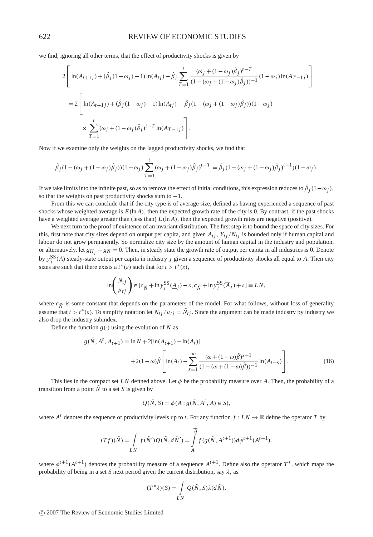## 622 REVIEW OF ECONOMIC STUDIES

we find, ignoring all other terms, that the effect of productivity shocks is given by

$$
2\left[\ln(A_{t+1j})+(\hat{\beta}_{j}(1-\omega_{j})-1)\ln(A_{tj})-\hat{\beta}_{j}\sum_{T=1}^{t}\frac{(\omega_{j}+(1-\omega_{j})\hat{\beta}_{j})^{t-T}}{(1-(\omega_{j}+(1-\omega_{j})\hat{\beta}_{j}))^{-1}}(1-\omega_{j})\ln(A_{T-1j})\right]
$$
  
=2
$$
\left[\ln(A_{t+1j})+(\hat{\beta}_{j}(1-\omega_{j})-1)\ln(A_{tj})-\hat{\beta}_{j}(1-(\omega_{j}+(1-\omega_{j})\hat{\beta}_{j}))(1-\omega_{j})\right]
$$

$$
\times\sum_{T=1}^{t}(\omega_{j}+(1-\omega_{j})\hat{\beta}_{j})^{t-T}\ln(A_{T-1j})\right].
$$

Now if we examine only the weights on the lagged productivity shocks, we find that

$$
\hat{\beta}_j(1-(\omega_j+(1-\omega_j)\hat{\beta}_j))(1-\omega_j)\sum_{T=1}^l(\omega_j+(1-\omega_j)\hat{\beta}_j)^{t-T}=\hat{\beta}_j(1-(\omega_j+(1-\omega_j)\hat{\beta}_j)^{t-1})(1-\omega_j).
$$

If we take limits into the infinite past, so as to remove the effect of initial conditions, this expression reduces to  $\hat{\beta}_i(1-\omega_i)$ , so that the weights on past productivity shocks sum to  $-1$ .

From this we can conclude that if the city type is of average size, defined as having experienced a sequence of past shocks whose weighted average is  $E(\ln A)$ , then the expected growth rate of the city is 0. By contrast, if the past shocks have a weighted average greater than (less than)  $E(\ln A)$ , then the expected growth rates are negative (positive).

We next turn to the proof of existence of an invariant distribution. The first step is to bound the space of city sizes. For this, first note that city sizes depend on output per capita, and given  $A_{ij}$ ,  $Y_{tj}/N_{tj}$  is bounded only if human capital and labour do not grow permanently. So normalize city size by the amount of human capital in the industry and population, or alternatively, let  $g_{H_i} + g_N = 0$ . Then, in steady state the growth rate of output per capita in all industries is 0. Denote by *y*SS *<sup>j</sup>* (*A*) steady-state output per capita in industry *j* given a sequence of productivity shocks all equal to *A*. Then city sizes are such that there exists a  $t^*(\varepsilon)$  such that for  $t > t^*(\varepsilon)$ ,

$$
\ln\left(\frac{N_{tj}}{\mu_{tj}}\right) \in [c_{\tilde{N}} + \ln y_j^{\text{SS}}(\underline{A}_j) - \varepsilon, c_{\tilde{N}} + \ln y_j^{\text{SS}}(\overline{A}_j) + \varepsilon] \equiv LN,
$$

where  $c_{\tilde{M}}$  is some constant that depends on the parameters of the model. For what follows, without loss of generality assume that  $t > t^*(\varepsilon)$ . To simplify notation let  $N_{tj}/\mu_{tj} = \tilde{N}_{tj}$ . Since the argument can be made industry by industry we also drop the industry subindex.

Define the function  $g(.)$  using the evolution of  $\tilde{N}$  as

$$
g(N, At, At+1) \equiv \ln N + 2[\ln(At+1) - \ln(At)]
$$
  
+2(1 -  $\omega$ ) $\hat{\beta}$ 
$$
\left[ \ln(At) - \sum_{s=1}^{\infty} \frac{(\omega + (1 - \omega)\hat{\beta})^{s-1}}{(1 - (\omega + (1 - \omega)\hat{\beta}))^{-1}} \ln(At-s) \right].
$$
 (16)

This lies in the compact set *LN* defined above. Let  $\phi$  be the probability measure over *A*. Then, the probability of a transition from a point  $\tilde{N}$  to a set *S* is given by

$$
Q(\tilde{N}, S) = \phi(A : g(\tilde{N}, A^t, A) \in S),
$$

where  $A^t$  denotes the sequence of productivity levels up to *t*. For any function  $f: LN \to \mathbb{R}$  define the operator *T* by

$$
(Tf)(\tilde{N}) = \int_{LN} f(\tilde{N}')Q(\tilde{N}, d\tilde{N}') = \int_{\underline{A}}^{A} f(g(\tilde{N}, A^{t+1}))d\phi^{t+1}(A^{t+1}).
$$

where  $\phi^{t+1}(A^{t+1})$  denotes the probability measure of a sequence  $A^{t+1}$ . Define also the operator  $T^*$ , which maps the probability of being in a set *S* next period given the current distribution, say λ, as

$$
(T^*\lambda)(S) = \int_{LN} Q(\tilde{N}, S)\lambda(d\tilde{N}).
$$

c 2007 The Review of Economic Studies Limited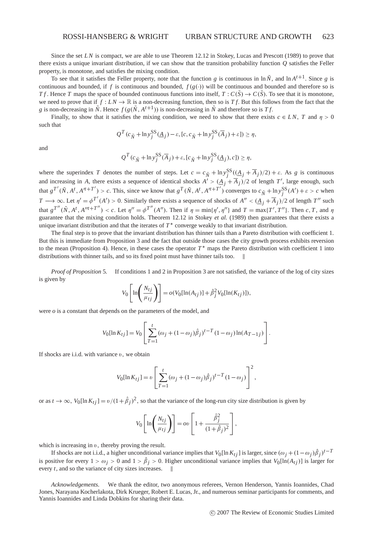Since the set *LN* is compact, we are able to use Theorem 12.12 in Stokey, Lucas and Prescott (1989) to prove that there exists a unique invariant distribution, if we can show that the transition probability function *Q* satisfies the Feller property, is monotone, and satisfies the mixing condition.

To see that it satisfies the Feller property, note that the function *g* is continuous in ln  $\tilde{N}$ , and ln  $A^{t+1}$ . Since *g* is continuous and bounded, if  $f$  is continuous and bounded,  $f(g(\cdot))$  will be continuous and bounded and therefore so is *T f* . Hence *T* maps the space of bounded continuous functions into itself, *T* :  $C(\bar{S}) \rightarrow C(\bar{S})$ . To see that it is monotone, we need to prove that if  $f: LN \to \mathbb{R}$  is a non-decreasing function, then so is  $Tf$ . But this follows from the fact that the *g* is non-decreasing in  $\tilde{N}$ . Hence  $f(g(\tilde{N}, A^{t+1}))$  is non-decreasing in  $\tilde{N}$  and therefore so is  $Tf$ .

Finally, to show that it satisfies the mixing condition, we need to show that there exists  $c \in LN$ , *T* and  $\eta > 0$ such that

$$
Q^T(c_{\tilde{N}} + \ln y_j^{\text{SS}}(\underline{A}_j) - \varepsilon, [c, c_{\tilde{N}} + \ln y_j^{\text{SS}}(\overline{A}_j) + \varepsilon]) \ge \eta,
$$

and

$$
Q^T(c_{\tilde{N}}+\ln y^{\text{SS}}_j(\overline{A}_j)+\varepsilon,[c_{\tilde{N}}+\ln y^{\text{SS}}_j(\underline{A}_j),c])\geq\eta,
$$

where the superindex *T* denotes the number of steps. Let  $c = c_{\tilde{N}} + \ln y_j^{SS} \left( \frac{(A_j + \overline{A}_j)}{2} + \epsilon$ . As *g* is continuous and increasing in *A*, there exists a sequence of identical shocks  $A' > (\underline{A}_j + A_j)/2$  of length *T'*, large enough, such that  $g^{T'}(\tilde{N}, A^t, A^{t+T'}) > c$ . This, since we know that  $g^T(\tilde{N}, A^t, A^{t+T'})$  converges to  $c_{\tilde{N}} + \ln y_j^{SS}(A') + \varepsilon > c$  when  $T \longrightarrow \infty$ . Let  $\eta' = \phi^{T'}(A') > 0$ . Similarly there exists a sequence of shocks of  $A'' < (\underline{A}_j + \overline{A}_j)/2$  of length  $T''$  such that  $g^{T''}(\tilde{N}, A^t, A''^{t+T''}) < c$ . Let  $\eta'' = \phi^{T''}(A'')$ . Then if  $\eta = \min\{\eta', \eta''\}$  and  $T = \max\{T', T''\}$ . Then  $c, T$ , and  $\eta$ guarantee that the mixing condition holds. Theorem 12.12 in Stokey *et al.* (1989) then guarantees that there exists a unique invariant distribution and that the iterates of *T* ∗ converge weakly to that invariant distribution.

The final step is to prove that the invariant distribution has thinner tails than a Pareto distribution with coefficient 1. But this is immediate from Proposition 3 and the fact that outside those cases the city growth process exhibits reversion to the mean (Proposition 4). Hence, in these cases the operator  $T^*$  maps the Pareto distribution with coefficient 1 into distributions with thinner tails, and so its fixed point must have thinner tails too.

*Proof of Proposition* 5. If conditions 1 and 2 in Proposition 3 are not satisfied, the variance of the log of city sizes is given by

$$
V_0\left[\ln\left(\frac{N_{tj}}{\mu_{tj}}\right)\right] = o(V_0[\ln(A_{tj})] + \hat{\beta}_j^2 V_0[\ln(K_{tj})]),
$$

were *o* is a constant that depends on the parameters of the model, and

$$
V_0[\ln K_{tj}] = V_0 \left[ \sum_{T=1}^t (\omega_j + (1 - \omega_j)\hat{\beta}_j)^{t-T} (1 - \omega_j) \ln(A_{T-1j}) \right].
$$

If shocks are i.i.d. with variance  $v$ , we obtain

$$
V_0[\ln K_{tj}] = v \left[ \sum_{T=1}^t (\omega_j + (1 - \omega_j)\hat{\beta}_j)^{t-T} (1 - \omega_j) \right]^2,
$$

or as  $t \to \infty$ ,  $V_0[\ln K_{ti}] = v/(1+\hat{\beta}_i)^2$ , so that the variance of the long-run city size distribution is given by

$$
V_0 \left[ \ln \left( \frac{N_{tj}}{\mu_{tj}} \right) \right] = ov \left[ 1 + \frac{\hat{\beta}_j^2}{(1 + \hat{\beta}_j)^2} \right],
$$

which is increasing in  $v$ , thereby proving the result.

If shocks are not i.i.d., a higher unconditional variance implies that  $V_0[\ln K_{tj}]$  is larger, since  $(\omega_j + (1-\omega_j)\hat{\beta}_j)^{t-T}$ is positive for every  $1 > \omega_i > 0$  and  $1 > \hat{\beta}_i > 0$ . Higher unconditional variance implies that  $V_0[\ln(A_{ti})]$  is larger for every *t*, and so the variance of city sizes increases.

*Acknowledgements.* We thank the editor, two anonymous referees, Vernon Henderson, Yannis Ioannides, Chad Jones, Narayana Kocherlakota, Dirk Krueger, Robert E. Lucas, Jr., and numerous seminar participants for comments, and Yannis Ioannides and Linda Dobkins for sharing their data.